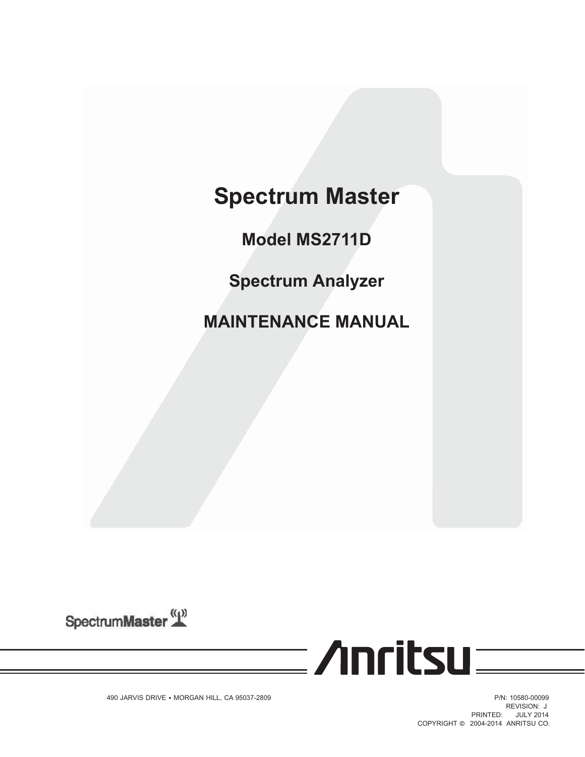# **Spectrum Master**

**Model MS2711D**

**Spectrum Analyzer**

**MAINTENANCE MANUAL**

SpectrumMaster<sup>((1))</sup>

**Monday** 

490 JARVIS DRIVE • MORGAN HILL, CA 95037-2809 P/N: 10580-00099 P/N: 10580-00099

**REVISION: J** PRINTED: JULY 2014 COPYRIGHT © 2004-2014 ANRITSU CO.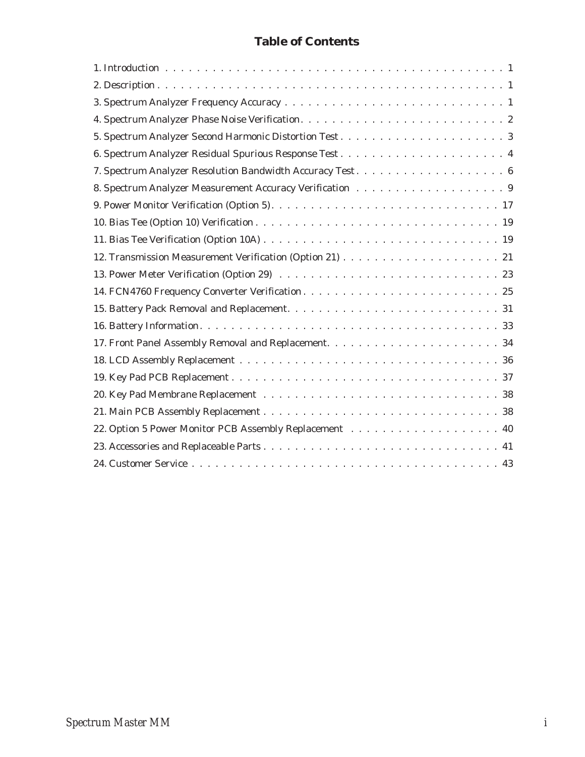# **Table of Contents**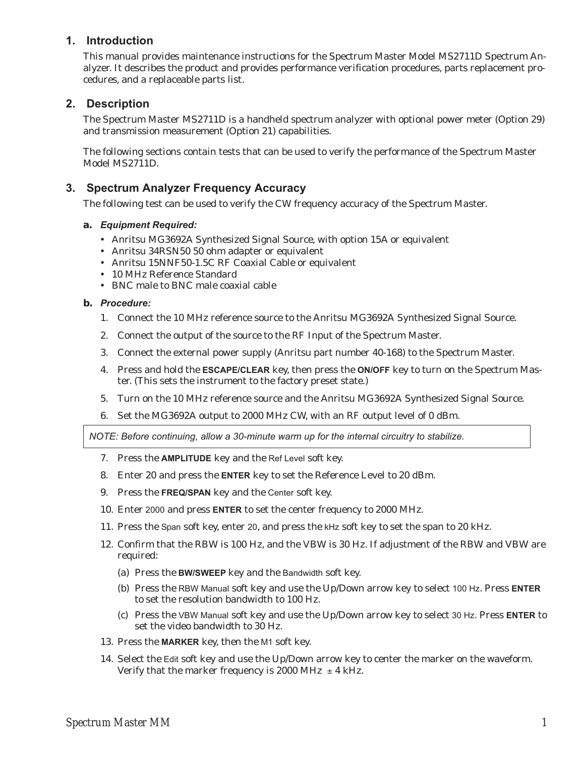# **1. Introduction**

This manual provides maintenance instructions for the Spectrum Master Model MS2711D Spectrum Analyzer. It describes the product and provides performance verification procedures, parts replacement procedures, and a replaceable parts list.

# **2. Description**

The Spectrum Master MS2711D is a handheld spectrum analyzer with optional power meter (Option 29) and transmission measurement (Option 21) capabilities.

The following sections contain tests that can be used to verify the performance of the Spectrum Master Model MS2711D.

# **3. Spectrum Analyzer Frequency Accuracy**

The following test can be used to verify the CW frequency accuracy of the Spectrum Master.

## **a.** *Equipment Required:*

- Anritsu MG3692A Synthesized Signal Source, with option 15A or equivalent
- Anritsu 34RSN50 50 ohm adapter or equivalent
- Anritsu 15NNF50-1.5C RF Coaxial Cable or equivalent
- 10 MHz Reference Standard
- BNC male to BNC male coaxial cable

#### **b.** *Procedure:*

- 1. Connect the 10 MHz reference source to the Anritsu MG3692A Synthesized Signal Source.
- 2. Connect the output of the source to the RF Input of the Spectrum Master.
- 3. Connect the external power supply (Anritsu part number 40-168) to the Spectrum Master.
- 4. Press and hold the **ESCAPE/CLEAR** key, then press the **ON/OFF** key to turn on the Spectrum Master. (This sets the instrument to the factory preset state.)
- 5. Turn on the 10 MHz reference source and the Anritsu MG3692A Synthesized Signal Source.
- 6. Set the MG3692A output to 2000 MHz CW, with an RF output level of 0 dBm.

*NOTE: Before continuing, allow a 30-minute warm up for the internal circuitry to stabilize.*

- 7. Press the **AMPLITUDE** key and the Ref Level soft key.
- 8. Enter 20 and press the **ENTER** key to set the Reference Level to 20 dBm.
- 9. Press the **FREQ/SPAN** key and the Center soft key.
- 10. Enter 2000 and press **ENTER** to set the center frequency to 2000 MHz.
- 11. Press the Span soft key, enter 20, and press the kHz soft key to set the span to 20 kHz.
- 12. Confirm that the RBW is 100 Hz, and the VBW is 30 Hz. If adjustment of the RBW and VBW are required:
	- (a) Press the **BW/SWEEP** key and the Bandwidth soft key.
	- (b) Press the RBW Manual soft key and use the Up/Down arrow key to select 100 Hz. Press **ENTER** to set the resolution bandwidth to 100 Hz.
	- (c) Press the VBW Manual soft key and use the Up/Down arrow key to select 30 Hz. Press **ENTER** to set the video bandwidth to 30 Hz.
- 13. Press the **MARKER** key, then the M1 soft key.
- 14. Select the Edit soft key and use the Up/Down arrow key to center the marker on the waveform. Verify that the marker frequency is 2000 MHz  $\pm$  4 kHz.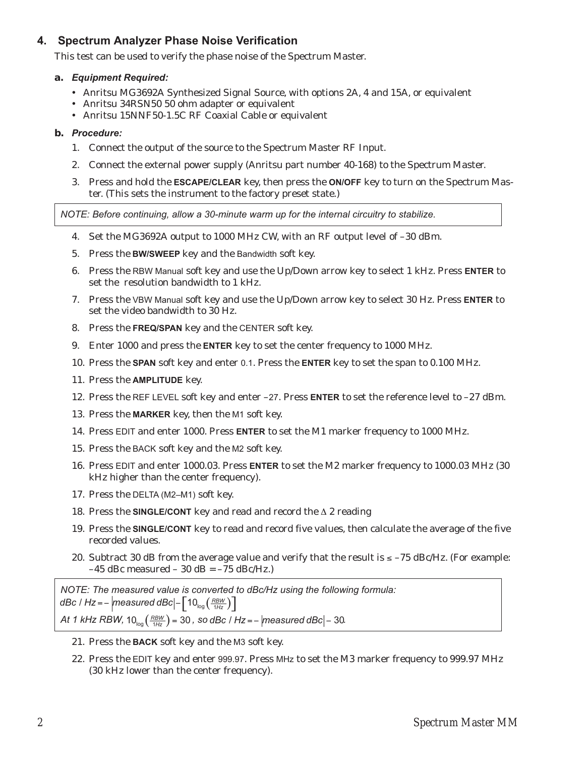# **4. Spectrum Analyzer Phase Noise Verification**

This test can be used to verify the phase noise of the Spectrum Master.

## **a.** *Equipment Required:*

- Anritsu MG3692A Synthesized Signal Source, with options 2A, 4 and 15A, or equivalent
- Anritsu 34RSN50 50 ohm adapter or equivalent
- Anritsu 15NNF50-1.5C RF Coaxial Cable or equivalent

# **b.** *Procedure:*

- 1. Connect the output of the source to the Spectrum Master RF Input.
- 2. Connect the external power supply (Anritsu part number 40-168) to the Spectrum Master.
- 3. Press and hold the **ESCAPE/CLEAR** key, then press the **ON/OFF** key to turn on the Spectrum Master. (This sets the instrument to the factory preset state.)

*NOTE: Before continuing, allow a 30-minute warm up for the internal circuitry to stabilize.*

- 4. Set the MG3692A output to 1000 MHz CW, with an RF output level of –30 dBm.
- 5. Press the **BW/SWEEP** key and the Bandwidth soft key.
- 6. Press the RBW Manual soft key and use the Up/Down arrow key to select 1 kHz. Press **ENTER** to set the resolution bandwidth to 1 kHz.
- 7. Press the VBW Manual soft key and use the Up/Down arrow key to select 30 Hz. Press **ENTER** to set the video bandwidth to 30 Hz.
- 8. Press the **FREQ/SPAN** key and the CENTER soft key.
- 9. Enter 1000 and press the **ENTER** key to set the center frequency to 1000 MHz.
- 10. Press the **SPAN** soft key and enter 0.1. Press the **ENTER** key to set the span to 0.100 MHz.
- 11. Press the **AMPLITUDE** key.
- 12. Press the REF LEVEL soft key and enter –27. Press **ENTER** to set the reference level to –27 dBm.
- 13. Press the **MARKER** key, then the M1 soft key.
- 14. Press EDIT and enter 1000. Press **ENTER** to set the M1 marker frequency to 1000 MHz.
- 15. Press the BACK soft key and the M2 soft key.
- 16. Press EDIT and enter 1000.03. Press **ENTER** to set the M2 marker frequency to 1000.03 MHz (30 kHz higher than the center frequency).
- 17. Press the DELTA (M2–M1) soft key.
- 18. Press the **SINGLE/CONT** key and read and record the  $\Delta$  2 reading
- 19. Press the **SINGLE/CONT** key to read and record five values, then calculate the average of the five recorded values.
- 20. Subtract 30 dB from the average value and verify that the result is  $\leq -75$  dBc/Hz. (For example:  $-45$  dBc measured  $-30$  dB =  $-75$  dBc/Hz.)

*NOTE: The measured value is converted to dBc/Hz using the following formula: dBc | Hz* = –  $\left|$  *measured dBc* $\left| -\left[ 10_{\log} \left( \frac{RBW}{1Hz} \right) \right] \right|$ *At 1 kHz RBW,*  $10_{log}$  $\left(\frac{RBW}{1Hz}\right)$  = 30 , so dBc / Hz = –  $|measured$  dBc $|-30$ .

- 21. Press the **BACK** soft key and the M3 soft key.
- 22. Press the EDIT key and enter 999.97. Press MHz to set the M3 marker frequency to 999.97 MHz (30 kHz lower than the center frequency).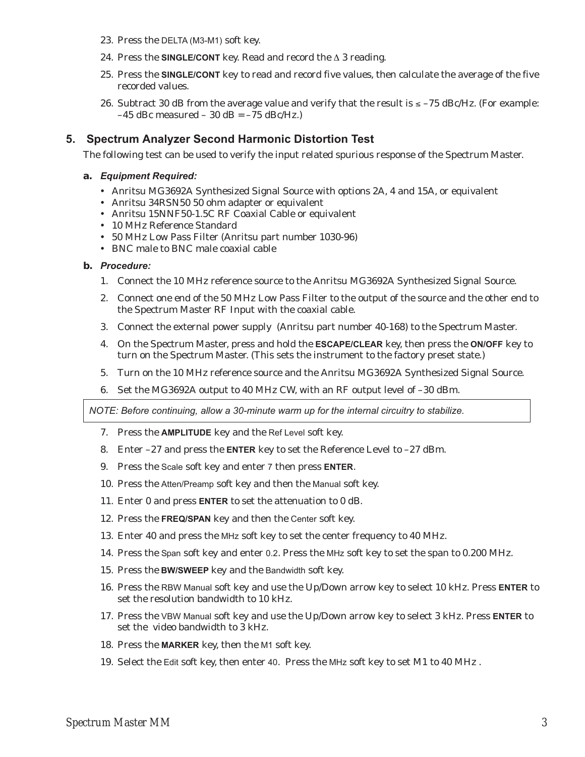- 23. Press the DELTA (M3-M1) soft key.
- 24. Press the **SINGLE/CONT** key. Read and record the  $\triangle 3$  reading.
- 25. Press the **SINGLE/CONT** key to read and record five values, then calculate the average of the five recorded values.
- 26. Subtract 30 dB from the average value and verify that the result is  $\le -75$  dBc/Hz. (For example:  $-45$  dBc measured  $-30$  dB =  $-75$  dBc/Hz.)

# **5. Spectrum Analyzer Second Harmonic Distortion Test**

The following test can be used to verify the input related spurious response of the Spectrum Master.

#### **a.** *Equipment Required:*

- Anritsu MG3692A Synthesized Signal Source with options 2A, 4 and 15A, or equivalent
- Anritsu 34RSN50 50 ohm adapter or equivalent
- Anritsu 15NNF50-1.5C RF Coaxial Cable or equivalent
- 10 MHz Reference Standard
- 50 MHz Low Pass Filter (Anritsu part number 1030-96)
- BNC male to BNC male coaxial cable

#### **b.** *Procedure:*

- 1. Connect the 10 MHz reference source to the Anritsu MG3692A Synthesized Signal Source.
- 2. Connect one end of the 50 MHz Low Pass Filter to the output of the source and the other end to the Spectrum Master RF Input with the coaxial cable.
- 3. Connect the external power supply (Anritsu part number 40-168) to the Spectrum Master.
- 4. On the Spectrum Master, press and hold the **ESCAPE/CLEAR** key, then press the **ON/OFF** key to turn on the Spectrum Master. (This sets the instrument to the factory preset state.)
- 5. Turn on the 10 MHz reference source and the Anritsu MG3692A Synthesized Signal Source.
- 6. Set the MG3692A output to 40 MHz CW, with an RF output level of –30 dBm.

*NOTE: Before continuing, allow a 30-minute warm up for the internal circuitry to stabilize.*

- 7. Press the **AMPLITUDE** key and the Ref Level soft key.
- 8. Enter –27 and press the **ENTER** key to set the Reference Level to –27 dBm.
- 9. Press the Scale soft key and enter 7 then press **ENTER**.
- 10. Press the Atten/Preamp soft key and then the Manual soft key.
- 11. Enter 0 and press **ENTER** to set the attenuation to 0 dB.
- 12. Press the **FREQ/SPAN** key and then the Center soft key.
- 13. Enter 40 and press the MHz soft key to set the center frequency to 40 MHz.
- 14. Press the Span soft key and enter 0.2. Press the MHz soft key to set the span to 0.200 MHz.
- 15. Press the **BW/SWEEP** key and the Bandwidth soft key.
- 16. Press the RBW Manual soft key and use the Up/Down arrow key to select 10 kHz. Press **ENTER** to set the resolution bandwidth to 10 kHz.
- 17. Press the VBW Manual soft key and use the Up/Down arrow key to select 3 kHz. Press **ENTER** to set the video bandwidth to 3 kHz.
- 18. Press the **MARKER** key, then the M1 soft key.
- 19. Select the Edit soft key, then enter 40. Press the MHz soft key to set M1 to 40 MHz .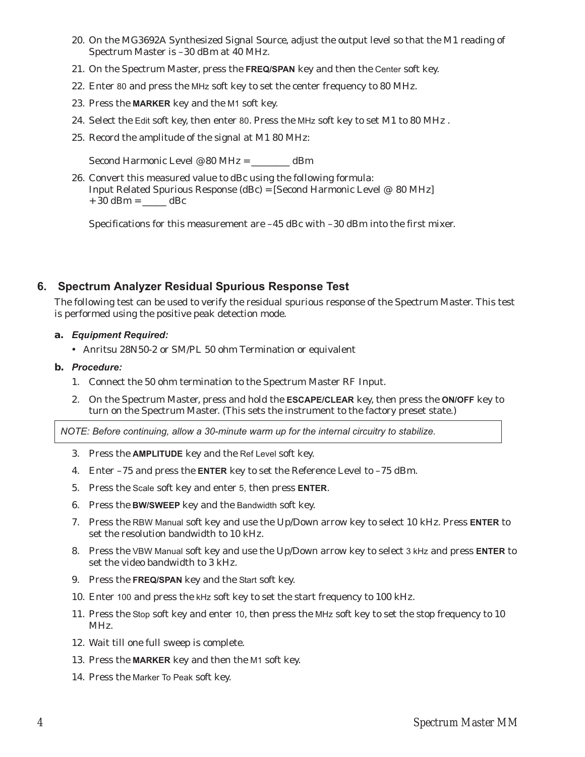- 20. On the MG3692A Synthesized Signal Source, adjust the output level so that the M1 reading of Spectrum Master is –30 dBm at 40 MHz.
- 21. On the Spectrum Master, press the **FREQ/SPAN** key and then the Center soft key.
- 22. Enter 80 and press the MHz soft key to set the center frequency to 80 MHz.
- 23. Press the **MARKER** key and the M1 soft key.
- 24. Select the Edit soft key, then enter 80. Press the MHz soft key to set M1 to 80 MHz .
- 25. Record the amplitude of the signal at M1 80 MHz:

Second Harmonic Level @ 80 MHz = \_\_\_\_\_\_\_\_ dBm

26. Convert this measured value to dBc using the following formula: Input Related Spurious Response (dBc) = [Second Harmonic Level @ 80 MHz]  $+ 30$  dBm =  $dBc$ 

Specifications for this measurement are  $-45$  dBc with  $-30$  dBm into the first mixer.

# **6. Spectrum Analyzer Residual Spurious Response Test**

The following test can be used to verify the residual spurious response of the Spectrum Master. This test is performed using the positive peak detection mode.

- **a.** *Equipment Required:*
	- Anritsu 28N50-2 or SM/PL 50 ohm Termination or equivalent
- **b.** *Procedure:*
	- 1. Connect the 50 ohm termination to the Spectrum Master RF Input.
	- 2. On the Spectrum Master, press and hold the **ESCAPE/CLEAR** key, then press the **ON/OFF** key to turn on the Spectrum Master. (This sets the instrument to the factory preset state.)

*NOTE: Before continuing, allow a 30-minute warm up for the internal circuitry to stabilize.*

- 3. Press the **AMPLITUDE** key and the Ref Level soft key.
- 4. Enter –75 and press the **ENTER** key to set the Reference Level to –75 dBm.
- 5. Press the Scale soft key and enter 5, then press **ENTER**.
- 6. Press the **BW/SWEEP** key and the Bandwidth soft key.
- 7. Press the RBW Manual soft key and use the Up/Down arrow key to select 10 kHz. Press **ENTER** to set the resolution bandwidth to 10 kHz.
- 8. Press the VBW Manual soft key and use the Up/Down arrow key to select 3 kHz and press **ENTER** to set the video bandwidth to 3 kHz.
- 9. Press the **FREQ/SPAN** key and the Start soft key.
- 10. Enter 100 and press the kHz soft key to set the start frequency to 100 kHz.
- 11. Press the Stop soft key and enter 10, then press the MHz soft key to set the stop frequency to 10 MHz.
- 12. Wait till one full sweep is complete.
- 13. Press the **MARKER** key and then the M1 soft key.
- 14. Press the Marker To Peak soft key.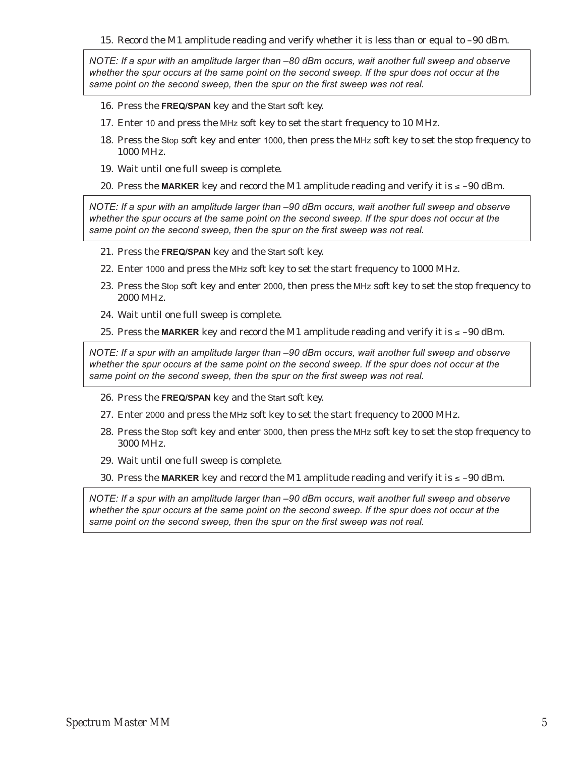15. Record the M1 amplitude reading and verify whether it is less than or equal to –90 dBm.

*NOTE: If a spur with an amplitude larger than –80 dBm occurs, wait another full sweep and observe whether the spur occurs at the same point on the second sweep. If the spur does not occur at the same point on the second sweep, then the spur on the first sweep was not real.*

- 16. Press the **FREQ/SPAN** key and the Start soft key.
- 17. Enter 10 and press the MHz soft key to set the start frequency to 10 MHz.
- 18. Press the Stop soft key and enter 1000, then press the MHz soft key to set the stop frequency to 1000 MHz.
- 19. Wait until one full sweep is complete.
- 20. Press the MARKER key and record the M1 amplitude reading and verify it is  $\leq -90$  dBm.

*NOTE: If a spur with an amplitude larger than –90 dBm occurs, wait another full sweep and observe whether the spur occurs at the same point on the second sweep. If the spur does not occur at the same point on the second sweep, then the spur on the first sweep was not real.*

- 21. Press the **FREQ/SPAN** key and the Start soft key.
- 22. Enter 1000 and press the MHz soft key to set the start frequency to 1000 MHz.
- 23. Press the Stop soft key and enter 2000, then press the MHz soft key to set the stop frequency to 2000 MHz.
- 24. Wait until one full sweep is complete.
- 25. Press the MARKER key and record the M1 amplitude reading and verify it is  $\leq -90$  dBm.

*NOTE: If a spur with an amplitude larger than –90 dBm occurs, wait another full sweep and observe whether the spur occurs at the same point on the second sweep. If the spur does not occur at the same point on the second sweep, then the spur on the first sweep was not real.*

- 26. Press the **FREQ/SPAN** key and the Start soft key.
- 27. Enter 2000 and press the MHz soft key to set the start frequency to 2000 MHz.
- 28. Press the Stop soft key and enter 3000, then press the MHz soft key to set the stop frequency to 3000 MHz.
- 29. Wait until one full sweep is complete.
- 30. Press the MARKER key and record the M1 amplitude reading and verify it is  $\leq -90$  dBm.

*NOTE: If a spur with an amplitude larger than –90 dBm occurs, wait another full sweep and observe whether the spur occurs at the same point on the second sweep. If the spur does not occur at the same point on the second sweep, then the spur on the first sweep was not real.*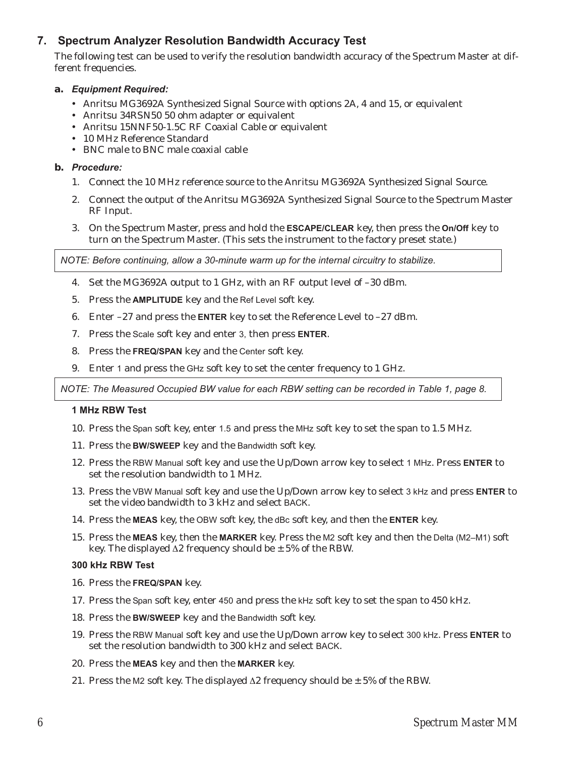# **7. Spectrum Analyzer Resolution Bandwidth Accuracy Test**

The following test can be used to verify the resolution bandwidth accuracy of the Spectrum Master at different frequencies.

## **a.** *Equipment Required:*

- Anritsu MG3692A Synthesized Signal Source with options 2A, 4 and 15, or equivalent
- Anritsu 34RSN50 50 ohm adapter or equivalent
- Anritsu 15NNF50-1.5C RF Coaxial Cable or equivalent
- 10 MHz Reference Standard
- BNC male to BNC male coaxial cable

## **b.** *Procedure:*

- 1. Connect the 10 MHz reference source to the Anritsu MG3692A Synthesized Signal Source.
- 2. Connect the output of the Anritsu MG3692A Synthesized Signal Source to the Spectrum Master RF Input.
- 3. On the Spectrum Master, press and hold the **ESCAPE/CLEAR** key, then press the **On/Off** key to turn on the Spectrum Master. (This sets the instrument to the factory preset state.)

*NOTE: Before continuing, allow a 30-minute warm up for the internal circuitry to stabilize.*

- 4. Set the MG3692A output to 1 GHz, with an RF output level of –30 dBm.
- 5. Press the **AMPLITUDE** key and the Ref Level soft key.
- 6. Enter –27 and press the **ENTER** key to set the Reference Level to –27 dBm.
- 7. Press the Scale soft key and enter 3, then press **ENTER**.
- 8. Press the **FREQ/SPAN** key and the Center soft key.
- 9. Enter 1 and press the GHz soft key to set the center frequency to 1 GHz.

*NOTE: The Measured Occupied BW value for each RBW setting can be recorded in Table 1, page 8.*

## **1 MHz RBW Test**

- 10. Press the Span soft key, enter 1.5 and press the MHz soft key to set the span to 1.5 MHz.
- 11. Press the **BW/SWEEP** key and the Bandwidth soft key.
- 12. Press the RBW Manual soft key and use the Up/Down arrow key to select 1 MHz. Press **ENTER** to set the resolution bandwidth to 1 MHz.
- 13. Press the VBW Manual soft key and use the Up/Down arrow key to select 3 kHz and press **ENTER** to set the video bandwidth to 3 kHz and select BACK.
- 14. Press the **MEAS** key, the OBW soft key, the dBc soft key, and then the **ENTER** key.
- 15. Press the **MEAS** key, then the **MARKER** key. Press the M2 soft key and then the Delta (M2–M1) soft key. The displayed  $\Delta 2$  frequency should be  $\pm$  5% of the RBW.

## **300 kHz RBW Test**

- 16. Press the **FREQ/SPAN** key.
- 17. Press the Span soft key, enter 450 and press the kHz soft key to set the span to 450 kHz.
- 18. Press the **BW/SWEEP** key and the Bandwidth soft key.
- 19. Press the RBW Manual soft key and use the Up/Down arrow key to select 300 kHz. Press **ENTER** to set the resolution bandwidth to 300 kHz and select BACK.
- 20. Press the **MEAS** key and then the **MARKER** key.
- 21. Press the M2 soft key. The displayed  $\Delta$ 2 frequency should be  $\pm$  5% of the RBW.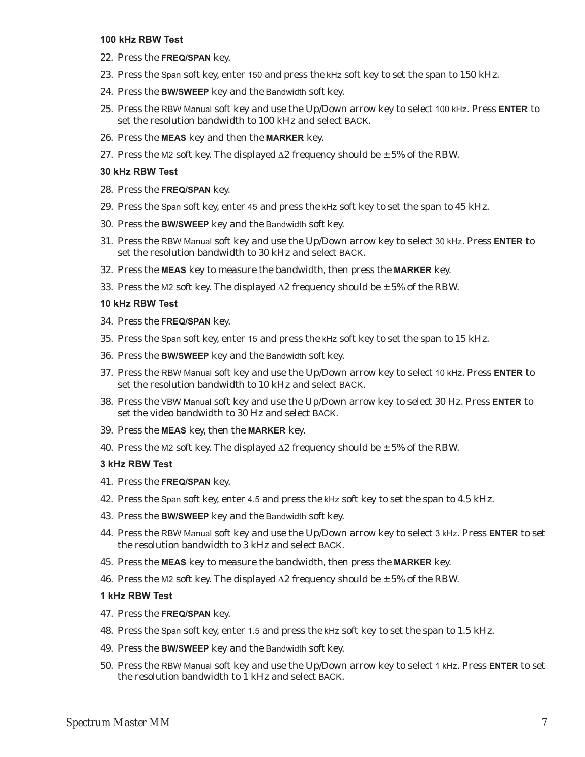#### **100 kHz RBW Test**

- 22. Press the **FREQ/SPAN** key.
- 23. Press the Span soft key, enter 150 and press the kHz soft key to set the span to 150 kHz.
- 24. Press the **BW/SWEEP** key and the Bandwidth soft key.
- 25. Press the RBW Manual soft key and use the Up/Down arrow key to select 100 kHz. Press **ENTER** to set the resolution bandwidth to 100 kHz and select BACK.
- 26. Press the **MEAS** key and then the **MARKER** key.
- 27. Press the M2 soft key. The displayed  $\Delta 2$  frequency should be  $\pm$  5% of the RBW.

#### **30 kHz RBW Test**

- 28. Press the **FREQ/SPAN** key.
- 29. Press the Span soft key, enter 45 and press the kHz soft key to set the span to 45 kHz.
- 30. Press the **BW/SWEEP** key and the Bandwidth soft key.
- 31. Press the RBW Manual soft key and use the Up/Down arrow key to select 30 kHz. Press **ENTER** to set the resolution bandwidth to 30 kHz and select BACK.
- 32. Press the **MEAS** key to measure the bandwidth, then press the **MARKER** key.
- 33. Press the M2 soft key. The displayed  $\Delta 2$  frequency should be  $\pm$  5% of the RBW.

#### **10 kHz RBW Test**

- 34. Press the **FREQ/SPAN** key.
- 35. Press the Span soft key, enter 15 and press the kHz soft key to set the span to 15 kHz.
- 36. Press the **BW/SWEEP** key and the Bandwidth soft key.
- 37. Press the RBW Manual soft key and use the Up/Down arrow key to select 10 kHz. Press **ENTER** to set the resolution bandwidth to 10 kHz and select BACK.
- 38. Press the VBW Manual soft key and use the Up/Down arrow key to select 30 Hz. Press **ENTER** to set the video bandwidth to 30 Hz and select BACK.
- 39. Press the **MEAS** key, then the **MARKER** key.
- 40. Press the M2 soft key. The displayed  $\Delta 2$  frequency should be  $\pm$  5% of the RBW.

#### **3 kHz RBW Test**

- 41. Press the **FREQ/SPAN** key.
- 42. Press the Span soft key, enter 4.5 and press the kHz soft key to set the span to 4.5 kHz.
- 43. Press the **BW/SWEEP** key and the Bandwidth soft key.
- 44. Press the RBW Manual soft key and use the Up/Down arrow key to select 3 kHz. Press **ENTER** to set the resolution bandwidth to 3 kHz and select BACK.
- 45. Press the **MEAS** key to measure the bandwidth, then press the **MARKER** key.
- 46. Press the M2 soft key. The displayed  $\Delta$ 2 frequency should be  $\pm$  5% of the RBW.

#### **1 kHz RBW Test**

- 47. Press the **FREQ/SPAN** key.
- 48. Press the Span soft key, enter 1.5 and press the kHz soft key to set the span to 1.5 kHz.
- 49. Press the **BW/SWEEP** key and the Bandwidth soft key.
- 50. Press the RBW Manual soft key and use the Up/Down arrow key to select 1 kHz. Press **ENTER** to set the resolution bandwidth to 1 kHz and select BACK.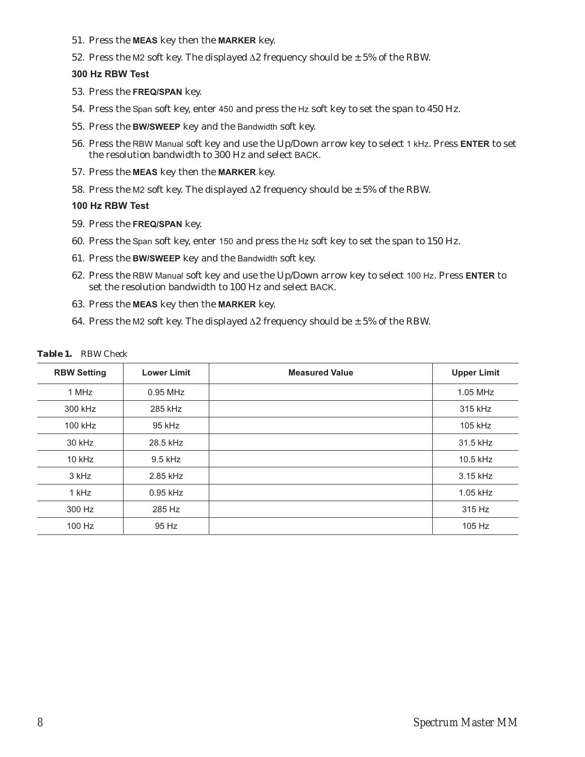- 51. Press the **MEAS** key then the **MARKER** key.
- 52. Press the M2 soft key. The displayed  $\Delta 2$  frequency should be  $\pm$  5% of the RBW.

# **300 Hz RBW Test**

- 53. Press the **FREQ/SPAN** key.
- 54. Press the Span soft key, enter 450 and press the Hz soft key to set the span to 450 Hz.
- 55. Press the **BW/SWEEP** key and the Bandwidth soft key.
- 56. Press the RBW Manual soft key and use the Up/Down arrow key to select 1 kHz. Press **ENTER** to set the resolution bandwidth to 300 Hz and select BACK.
- 57. Press the **MEAS** key then the **MARKER** key.
- 58. Press the M2 soft key. The displayed  $\Delta$ 2 frequency should be  $\pm$  5% of the RBW.

## **100 Hz RBW Test**

- 59. Press the **FREQ/SPAN** key.
- 60. Press the Span soft key, enter 150 and press the Hz soft key to set the span to 150 Hz.
- 61. Press the **BW/SWEEP** key and the Bandwidth soft key.
- 62. Press the RBW Manual soft key and use the Up/Down arrow key to select 100 Hz. Press **ENTER** to set the resolution bandwidth to 100 Hz and select BACK.
- 63. Press the **MEAS** key then the **MARKER** key.
- 64. Press the M2 soft key. The displayed  $\Delta$ 2 frequency should be  $\pm$  5% of the RBW.

| <b>RBW Setting</b> | <b>Lower Limit</b> | <b>Measured Value</b> | <b>Upper Limit</b> |
|--------------------|--------------------|-----------------------|--------------------|
| 1 MHz              | $0.95$ MHz         |                       | 1.05 MHz           |
| 300 kHz            | 285 kHz            |                       | 315 kHz            |
| 100 kHz            | 95 kHz             |                       | 105 kHz            |
| 30 kHz             | 28.5 kHz           |                       | 31.5 kHz           |
| $10$ kHz           | 9.5 kHz            |                       | 10.5 kHz           |
| 3 kHz              | 2.85 kHz           |                       | 3.15 kHz           |
| 1 kHz              | $0.95$ kHz         |                       | 1.05 kHz           |
| 300 Hz             | 285 Hz             |                       | 315 Hz             |
| 100 Hz             | 95 Hz              |                       | 105 Hz             |

#### *Table 1. RBW Check*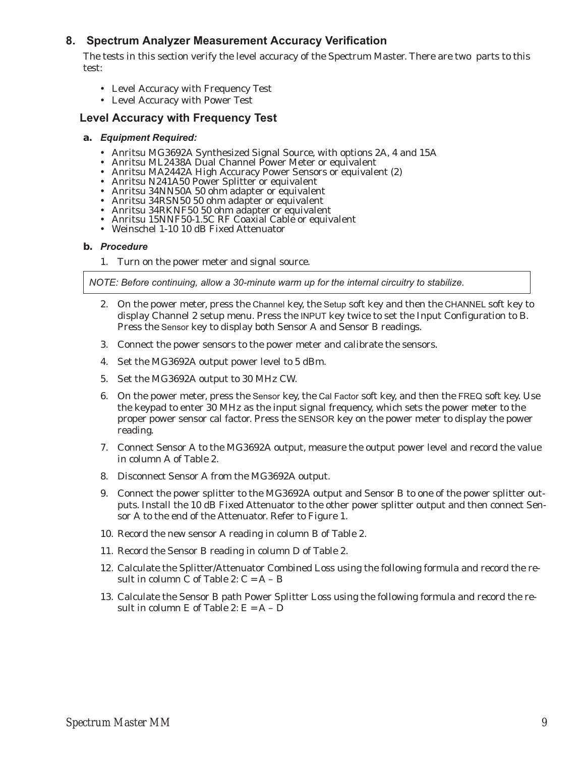# **8. Spectrum Analyzer Measurement Accuracy Verification**

The tests in this section verify the level accuracy of the Spectrum Master. There are two parts to this test:

- Level Accuracy with Frequency Test
- Level Accuracy with Power Test

# **Level Accuracy with Frequency Test**

#### **a.** *Equipment Required:*

- Anritsu MG3692A Synthesized Signal Source, with options 2A, 4 and 15A<br>• Anritsu ML2438A Dual Channel Power Meter or equivalent
- 
- Anritsu ML2438A Dual Channel Power Meter or equivalent<br>• Anritsu MA2442A High Accuracy Power Sensors or equivale Anritsu MA2442A High Accuracy Power Sensors or equivalent (2) -
- Anritsu N241A50 Power Splitter or equivalent
- -
- Anritsu 34RSN50 50 ohm adapter or equivalent Anritsu 34RSN50 50 ohm adapter or equivalent - Anritsu 34RKNF50 50 ohm adapter or equivalent
- 
- -Anritsu 15NNF50-1.5C RF Coaxial Cable or equivalent
- Weinschel 1-10 10 dB Fixed Attenuator

#### **b.** *Procedure*

1. Turn on the power meter and signal source.

*NOTE: Before continuing, allow a 30-minute warm up for the internal circuitry to stabilize.*

- 2. On the power meter, press the Channel key, the Setup soft key and then the CHANNEL soft key to display Channel 2 setup menu. Press the INPUT key twice to set the Input Configuration to B. Press the Sensor key to display both Sensor A and Sensor B readings.
- 3. Connect the power sensors to the power meter and calibrate the sensors.
- 4. Set the MG3692A output power level to 5 dBm.
- 5. Set the MG3692A output to 30 MHz CW.
- 6. On the power meter, press the Sensor key, the Cal Factor soft key, and then the FREQ soft key. Use the keypad to enter 30 MHz as the input signal frequency, which sets the power meter to the proper power sensor cal factor. Press the SENSOR key on the power meter to display the power reading.
- 7. Connect Sensor A to the MG3692A output, measure the output power level and record the value in column A of Table 2.
- 8. Disconnect Sensor A from the MG3692A output.
- 9. Connect the power splitter to the MG3692A output and Sensor B to one of the power splitter outputs. Install the 10 dB Fixed Attenuator to the other power splitter output and then connect Sensor A to the end of the Attenuator. Refer to Figure 1.
- 10. Record the new sensor A reading in column B of Table 2.
- 11. Record the Sensor B reading in column D of Table 2.
- 12. Calculate the Splitter/Attenuator Combined Loss using the following formula and record the result in column C of Table 2:  $C = A - B$
- 13. Calculate the Sensor B path Power Splitter Loss using the following formula and record the result in column E of Table 2:  $E = A - D$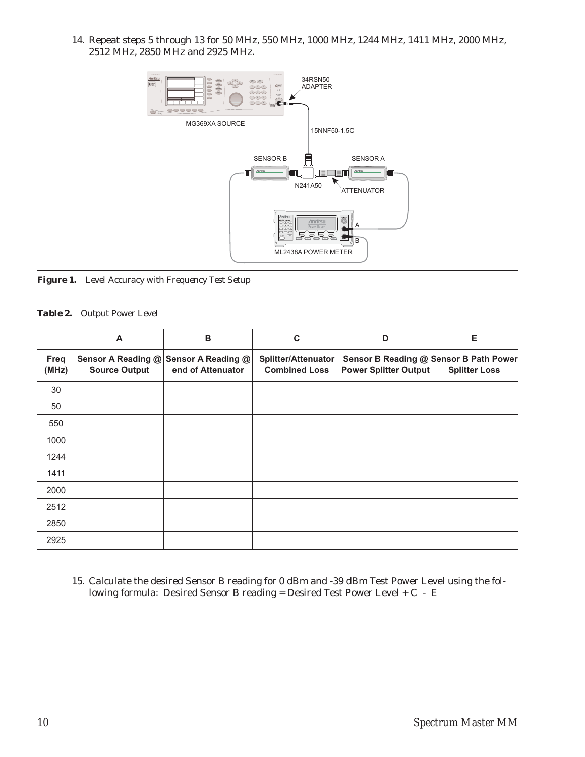14. Repeat steps 5 through 13 for 50 MHz, 550 MHz, 1000 MHz, 1244 MHz, 1411 MHz, 2000 MHz, 2512 MHz, 2850 MHz and 2925 MHz.



*Figure 1. Level Accuracy with Frequency Test Setup*

#### *Table 2. Output Power Level*

|               | A                    | B                                                          | C                                                  | D                            | Е                                                              |
|---------------|----------------------|------------------------------------------------------------|----------------------------------------------------|------------------------------|----------------------------------------------------------------|
| Freq<br>(MHz) | <b>Source Output</b> | Sensor A Reading @ Sensor A Reading @<br>end of Attenuator | <b>Splitter/Attenuator</b><br><b>Combined Loss</b> | <b>Power Splitter Output</b> | Sensor B Reading @ Sensor B Path Power<br><b>Splitter Loss</b> |
| 30            |                      |                                                            |                                                    |                              |                                                                |
| 50            |                      |                                                            |                                                    |                              |                                                                |
| 550           |                      |                                                            |                                                    |                              |                                                                |
| 1000          |                      |                                                            |                                                    |                              |                                                                |
| 1244          |                      |                                                            |                                                    |                              |                                                                |
| 1411          |                      |                                                            |                                                    |                              |                                                                |
| 2000          |                      |                                                            |                                                    |                              |                                                                |
| 2512          |                      |                                                            |                                                    |                              |                                                                |
| 2850          |                      |                                                            |                                                    |                              |                                                                |
| 2925          |                      |                                                            |                                                    |                              |                                                                |

15. Calculate the desired Sensor B reading for 0 dBm and -39 dBm Test Power Level using the following formula: Desired Sensor B reading = Desired Test Power Level + C - E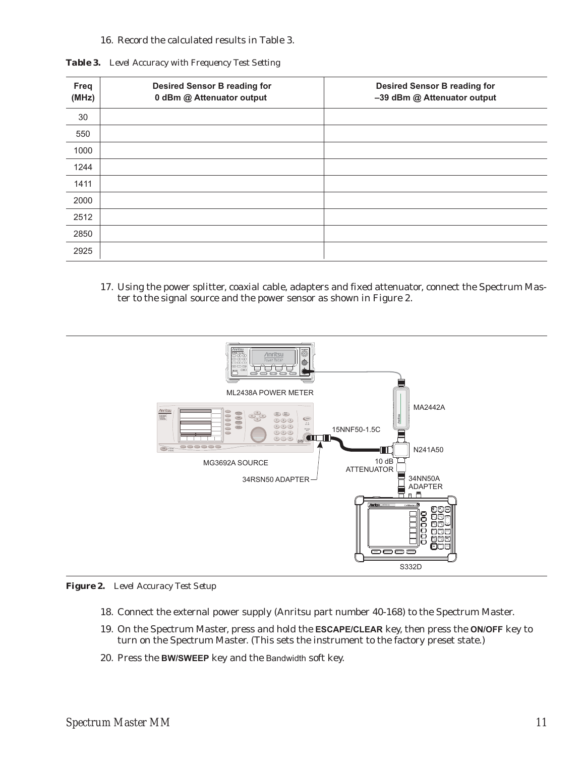## 16. Record the calculated results in Table 3.

|  | Table 3. Level Accuracy with Frequency Test Setting |  |  |  |
|--|-----------------------------------------------------|--|--|--|
|--|-----------------------------------------------------|--|--|--|

| Freq<br>(MHz) | <b>Desired Sensor B reading for</b><br>0 dBm @ Attenuator output | <b>Desired Sensor B reading for</b><br>-39 dBm @ Attenuator output |
|---------------|------------------------------------------------------------------|--------------------------------------------------------------------|
| 30            |                                                                  |                                                                    |
| 550           |                                                                  |                                                                    |
| 1000          |                                                                  |                                                                    |
| 1244          |                                                                  |                                                                    |
| 1411          |                                                                  |                                                                    |
| 2000          |                                                                  |                                                                    |
| 2512          |                                                                  |                                                                    |
| 2850          |                                                                  |                                                                    |
| 2925          |                                                                  |                                                                    |

17. Using the power splitter, coaxial cable, adapters and fixed attenuator, connect the Spectrum Master to the signal source and the power sensor as shown in Figure 2.



*Figure 2. Level Accuracy Test Setup*

- 18. Connect the external power supply (Anritsu part number 40-168) to the Spectrum Master.
- 19. On the Spectrum Master, press and hold the **ESCAPE/CLEAR** key, then press the **ON/OFF** key to turn on the Spectrum Master. (This sets the instrument to the factory preset state.)
- 20. Press the **BW/SWEEP** key and the Bandwidth soft key.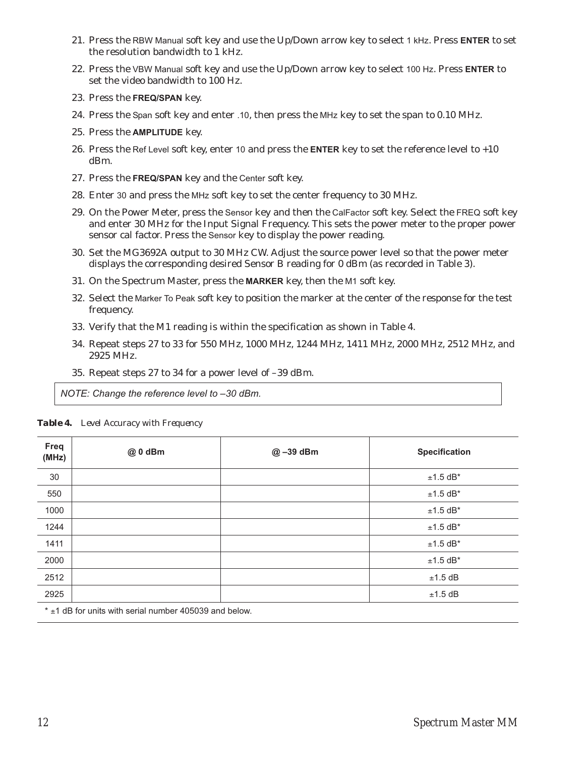- 21. Press the RBW Manual soft key and use the Up/Down arrow key to select 1 kHz. Press **ENTER** to set the resolution bandwidth to 1 kHz.
- 22. Press the VBW Manual soft key and use the Up/Down arrow key to select 100 Hz. Press **ENTER** to set the video bandwidth to 100 Hz.
- 23. Press the **FREQ/SPAN** key.
- 24. Press the Span soft key and enter .10, then press the MHz key to set the span to 0.10 MHz.
- 25. Press the **AMPLITUDE** key.
- 26. Press the Ref Level soft key, enter 10 and press the **ENTER** key to set the reference level to +10 dBm.
- 27. Press the **FREQ/SPAN** key and the Center soft key.
- 28. Enter 30 and press the MHz soft key to set the center frequency to 30 MHz.
- 29. On the Power Meter, press the Sensor key and then the CalFactor soft key. Select the FREQ soft key and enter 30 MHz for the Input Signal Frequency. This sets the power meter to the proper power sensor cal factor. Press the Sensor key to display the power reading.
- 30. Set the MG3692A output to 30 MHz CW. Adjust the source power level so that the power meter displays the corresponding desired Sensor B reading for 0 dBm (as recorded in Table 3).
- 31. On the Spectrum Master, press the **MARKER** key, then the M1 soft key.
- 32. Select the Marker To Peak soft key to position the marker at the center of the response for the test frequency.
- 33. Verify that the M1 reading is within the specification as shown in Table 4.
- 34. Repeat steps 27 to 33 for 550 MHz, 1000 MHz, 1244 MHz, 1411 MHz, 2000 MHz, 2512 MHz, and 2925 MHz.
- 35. Repeat steps 27 to 34 for a power level of –39 dBm.

*NOTE: Change the reference level to –30 dBm.*

| Freq<br>(MHz) | @ 0 dBm | @-39 dBm | <b>Specification</b> |
|---------------|---------|----------|----------------------|
| 30            |         |          | $±1.5$ dB*           |
| 550           |         |          | $±1.5$ dB*           |
| 1000          |         |          | $±1.5$ dB*           |
| 1244          |         |          | $±1.5$ dB*           |
| 1411          |         |          | $±1.5$ dB*           |
| 2000          |         |          | $±1.5$ dB*           |
| 2512          |         |          | $±1.5$ dB            |
| 2925          |         |          | $±1.5$ dB            |
|               |         |          |                      |

*Table 4. Level Accuracy with Frequency*

 $\pm$ 1 dB for units with serial number 405039 and below.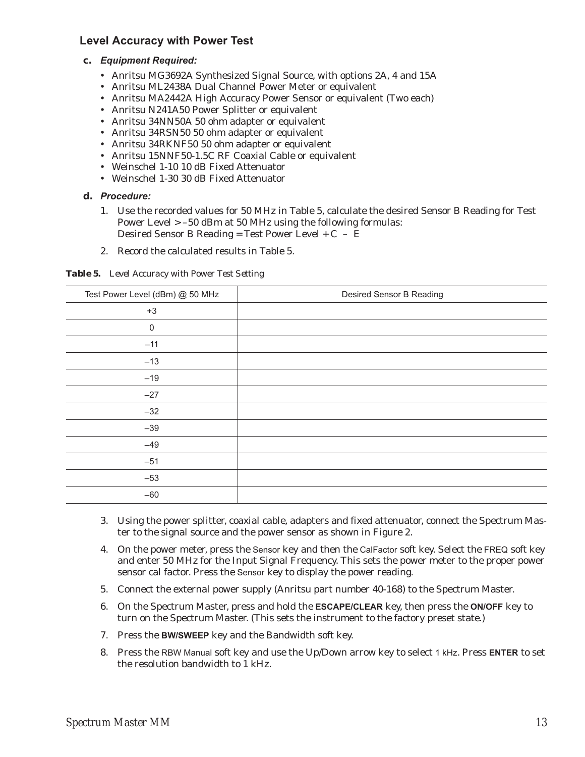# **Level Accuracy with Power Test**

## **c.** *Equipment Required:*

- Anritsu MG3692A Synthesized Signal Source, with options 2A, 4 and 15A
- Anritsu ML2438A Dual Channel Power Meter or equivalent
- Anritsu MA2442A High Accuracy Power Sensor or equivalent (Two each)
- Anritsu N241A50 Power Splitter or equivalent
- Anritsu 34NN50A 50 ohm adapter or equivalent
- Anritsu 34RSN50 50 ohm adapter or equivalent
- Anritsu 34RKNF50 50 ohm adapter or equivalent
- Anritsu 15NNF50-1.5C RF Coaxial Cable or equivalent
- Weinschel 1-10 10 dB Fixed Attenuator
- Weinschel 1-30 30 dB Fixed Attenuator

## **d.** *Procedure:*

- 1. Use the recorded values for 50 MHz in Table 5, calculate the desired Sensor B Reading for Test Power Level > –50 dBm at 50 MHz using the following formulas: Desired Sensor B Reading = Test Power Level +  $C - \overline{E}$
- 2. Record the calculated results in Table 5.

*Table 5. Level Accuracy with Power Test Setting*

| Test Power Level (dBm) @ 50 MHz | Desired Sensor B Reading |
|---------------------------------|--------------------------|
| $+3$                            |                          |
| $\mathbf 0$                     |                          |
| $-11$                           |                          |
| $-13$                           |                          |
| $-19$                           |                          |
| $-27$                           |                          |
| $-32$                           |                          |
| $-39$                           |                          |
| $-49$                           |                          |
| $-51$                           |                          |
| $-53$                           |                          |
| $-60$                           |                          |
|                                 |                          |

- 3. Using the power splitter, coaxial cable, adapters and fixed attenuator, connect the Spectrum Master to the signal source and the power sensor as shown in Figure 2.
- 4. On the power meter, press the Sensor key and then the CalFactor soft key. Select the FREQ soft key and enter 50 MHz for the Input Signal Frequency. This sets the power meter to the proper power sensor cal factor. Press the Sensor key to display the power reading.
- 5. Connect the external power supply (Anritsu part number 40-168) to the Spectrum Master.
- 6. On the Spectrum Master, press and hold the **ESCAPE/CLEAR** key, then press the **ON/OFF** key to turn on the Spectrum Master. (This sets the instrument to the factory preset state.)
- 7. Press the **BW/SWEEP** key and the Bandwidth soft key.
- 8. Press the RBW Manual soft key and use the Up/Down arrow key to select 1 kHz. Press **ENTER** to set the resolution bandwidth to 1 kHz.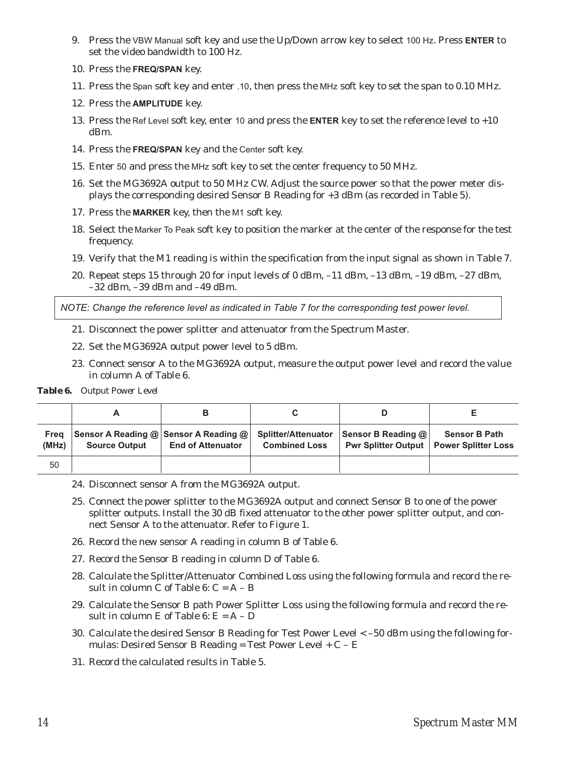- 9. Press the VBW Manual soft key and use the Up/Down arrow key to select 100 Hz. Press **ENTER** to set the video bandwidth to 100 Hz.
- 10. Press the **FREQ/SPAN** key.
- 11. Press the Span soft key and enter .10, then press the MHz soft key to set the span to 0.10 MHz.
- 12. Press the **AMPLITUDE** key.
- 13. Press the Ref Level soft key, enter 10 and press the **ENTER** key to set the reference level to +10 dBm.
- 14. Press the **FREQ/SPAN** key and the Center soft key.
- 15. Enter 50 and press the MHz soft key to set the center frequency to 50 MHz.
- 16. Set the MG3692A output to 50 MHz CW. Adjust the source power so that the power meter displays the corresponding desired Sensor B Reading for +3 dBm (as recorded in Table 5).
- 17. Press the **MARKER** key, then the M1 soft key.
- 18. Select the Marker To Peak soft key to position the marker at the center of the response for the test frequency.
- 19. Verify that the M1 reading is within the specification from the input signal as shown in Table 7.
- 20. Repeat steps 15 through 20 for input levels of 0 dBm, –11 dBm, –13 dBm, –19 dBm, –27 dBm, –32 dBm, –39 dBm and –49 dBm.

*NOTE: Change the reference level as indicated in Table 7 for the corresponding test power level.*

- 21. Disconnect the power splitter and attenuator from the Spectrum Master.
- 22. Set the MG3692A output power level to 5 dBm.
- 23. Connect sensor A to the MG3692A output, measure the output power level and record the value in column A of Table 6.

*Table 6. Output Power Level*

| Frea<br>(MHz) | <b>Source Output</b> | Sensor A Reading @ Sensor A Reading @ $ $<br><b>End of Attenuator</b> | <b>Splitter/Attenuator</b><br><b>Combined Loss</b> | <b>Sensor B Reading <math>@ </math></b><br><b>Pwr Splitter Output</b> | <b>Sensor B Path</b><br>Power Splitter Loss |
|---------------|----------------------|-----------------------------------------------------------------------|----------------------------------------------------|-----------------------------------------------------------------------|---------------------------------------------|
| 50            |                      |                                                                       |                                                    |                                                                       |                                             |

- 24. Disconnect sensor A from the MG3692A output.
- 25. Connect the power splitter to the MG3692A output and connect Sensor B to one of the power splitter outputs. Install the 30 dB fixed attenuator to the other power splitter output, and connect Sensor A to the attenuator. Refer to Figure 1.
- 26. Record the new sensor A reading in column B of Table 6.
- 27. Record the Sensor B reading in column D of Table 6.
- 28. Calculate the Splitter/Attenuator Combined Loss using the following formula and record the result in column C of Table 6:  $C = A - B$
- 29. Calculate the Sensor B path Power Splitter Loss using the following formula and record the result in column E of Table 6:  $E = A - D$
- 30. Calculate the desired Sensor B Reading for Test Power Level < –50 dBm using the following formulas: Desired Sensor B Reading = Test Power Level +  $C$  –  $E$
- 31. Record the calculated results in Table 5.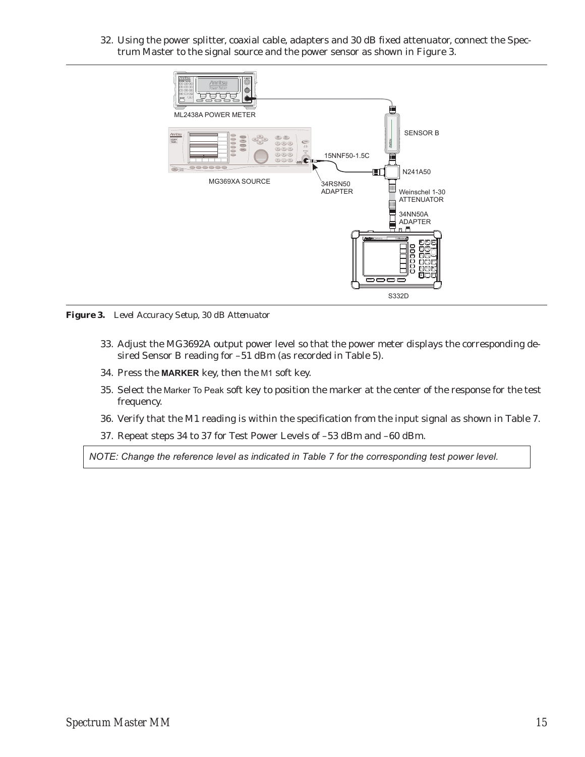32. Using the power splitter, coaxial cable, adapters and 30 dB fixed attenuator, connect the Spectrum Master to the signal source and the power sensor as shown in Figure 3.



*Figure 3. Level Accuracy Setup, 30 dB Attenuator*

- 33. Adjust the MG3692A output power level so that the power meter displays the corresponding desired Sensor B reading for –51 dBm (as recorded in Table 5).
- 34. Press the **MARKER** key, then the M1 soft key.
- 35. Select the Marker To Peak soft key to position the marker at the center of the response for the test frequency.
- 36. Verify that the M1 reading is within the specification from the input signal as shown in Table 7.
- 37. Repeat steps 34 to 37 for Test Power Levels of –53 dBm and –60 dBm.

*NOTE: Change the reference level as indicated in Table 7 for the corresponding test power level.*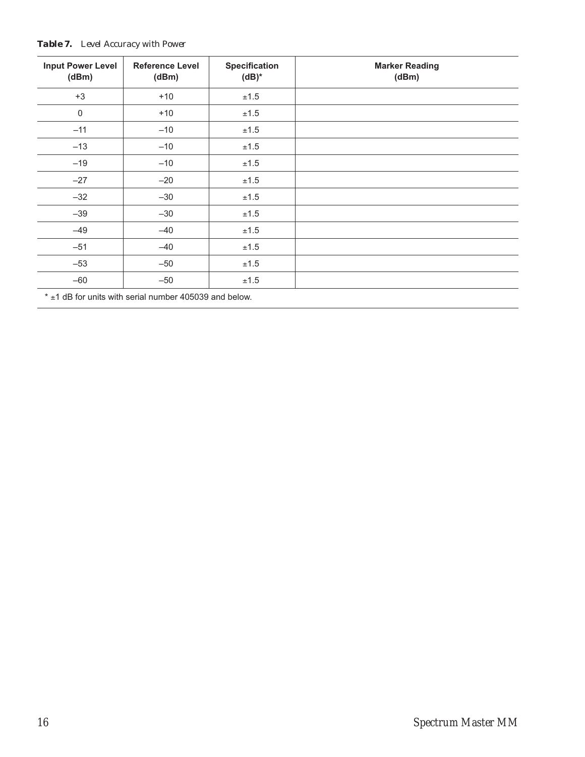| <b>Input Power Level</b><br>(dBm) | <b>Reference Level</b><br>(dBm) | <b>Specification</b><br>$(dB)^*$ | <b>Marker Reading</b><br>(dBm) |  |  |  |
|-----------------------------------|---------------------------------|----------------------------------|--------------------------------|--|--|--|
| $+3$                              | $+10$                           | ±1.5                             |                                |  |  |  |
| $\mathbf 0$                       | $+10$                           | ±1.5                             |                                |  |  |  |
| $-11$                             | $-10$                           | ±1.5                             |                                |  |  |  |
| $-13$                             | $-10$                           | ±1.5                             |                                |  |  |  |
| $-19$                             | $-10$                           | ±1.5                             |                                |  |  |  |
| $-27$                             | $-20$                           | ±1.5                             |                                |  |  |  |
| $-32$                             | $-30$                           | ±1.5                             |                                |  |  |  |
| $-39$                             | $-30$                           | ±1.5                             |                                |  |  |  |
| $-49$                             | $-40$                           | $\pm 1.5$                        |                                |  |  |  |
| $-51$                             | $-40$                           | ±1.5                             |                                |  |  |  |
| $-53$                             | $-50$                           | ±1.5                             |                                |  |  |  |
| $-60$                             | $-50$                           | ±1.5                             |                                |  |  |  |
|                                   |                                 |                                  |                                |  |  |  |

## *Table 7. Level Accuracy with Power*

 $*$  ±1 dB for units with serial number 405039 and below.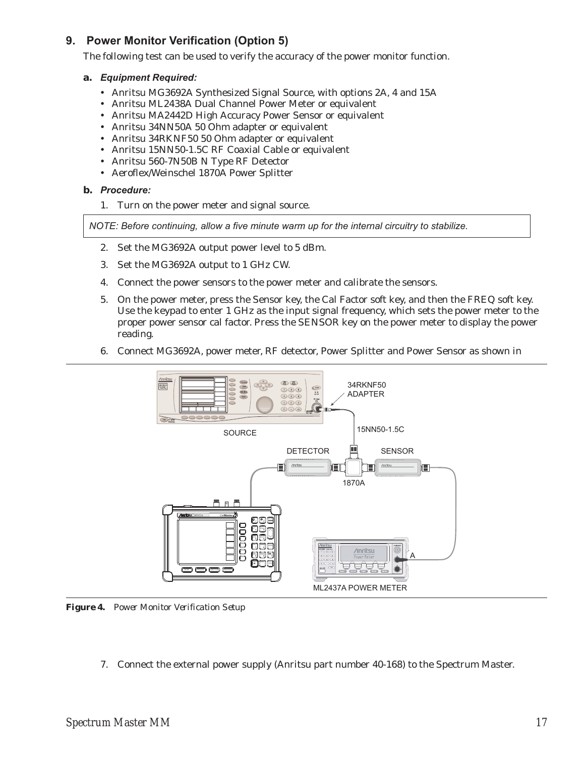# **9. Power Monitor Verification (Option 5)**

The following test can be used to verify the accuracy of the power monitor function.

#### **a.** *Equipment Required:*

- Anritsu MG3692A Synthesized Signal Source, with options 2A, 4 and 15A
- Anritsu ML2438A Dual Channel Power Meter or equivalent
- Anritsu MA2442D High Accuracy Power Sensor or equivalent
- Anritsu 34NN50A 50 Ohm adapter or equivalent
- Anritsu 34RKNF50 50 Ohm adapter or equivalent
- Anritsu 15NN50-1.5C RF Coaxial Cable or equivalent
- Anritsu 560-7N50B N Type RF Detector
- Aeroflex/Weinschel 1870A Power Splitter

## **b.** *Procedure:*

1. Turn on the power meter and signal source.

*NOTE: Before continuing, allow a five minute warm up for the internal circuitry to stabilize.*

- 2. Set the MG3692A output power level to 5 dBm.
- 3. Set the MG3692A output to 1 GHz CW.
- 4. Connect the power sensors to the power meter and calibrate the sensors.
- 5. On the power meter, press the Sensor key, the Cal Factor soft key, and then the FREQ soft key. Use the keypad to enter 1 GHz as the input signal frequency, which sets the power meter to the proper power sensor cal factor. Press the SENSOR key on the power meter to display the power reading.
- 6. Connect MG3692A, power meter, RF detector, Power Splitter and Power Sensor as shown in



*Figure 4. Power Monitor Verification Setup*

7. Connect the external power supply (Anritsu part number 40-168) to the Spectrum Master.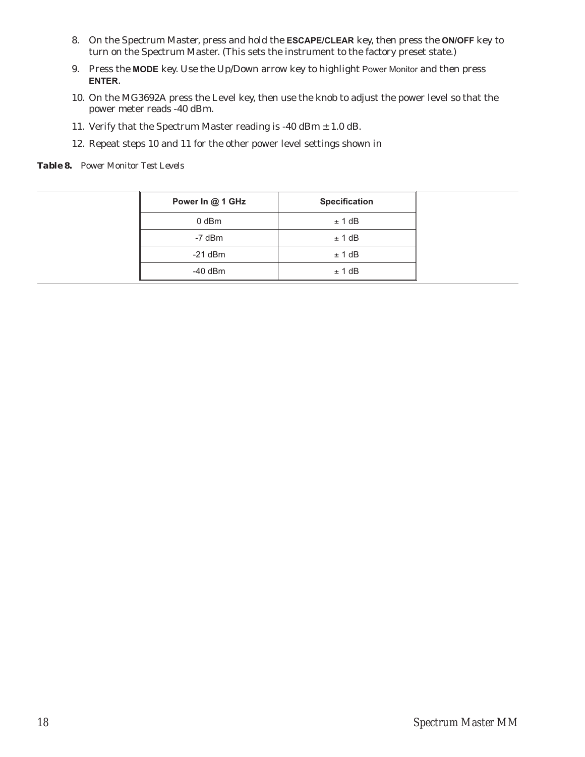- 8. On the Spectrum Master, press and hold the **ESCAPE/CLEAR** key, then press the **ON/OFF** key to turn on the Spectrum Master. (This sets the instrument to the factory preset state.)
- 9. Press the **MODE** key. Use the Up/Down arrow key to highlight Power Monitor and then press **ENTER**.
- 10. On the MG3692A press the Level key, then use the knob to adjust the power level so that the power meter reads -40 dBm.
- 11. Verify that the Spectrum Master reading is -40 dBm  $\pm$  1.0 dB.
- 12. Repeat steps 10 and 11 for the other power level settings shown in

*Table 8. Power Monitor Test Levels*

| Power In @ 1 GHz | <b>Specification</b> |
|------------------|----------------------|
| 0 dBm            | ± 1 dB               |
| -7 dBm           | ± 1 dB               |
| $-21$ dBm        | ± 1 dB               |
| $-40$ dBm        | ± 1 dB               |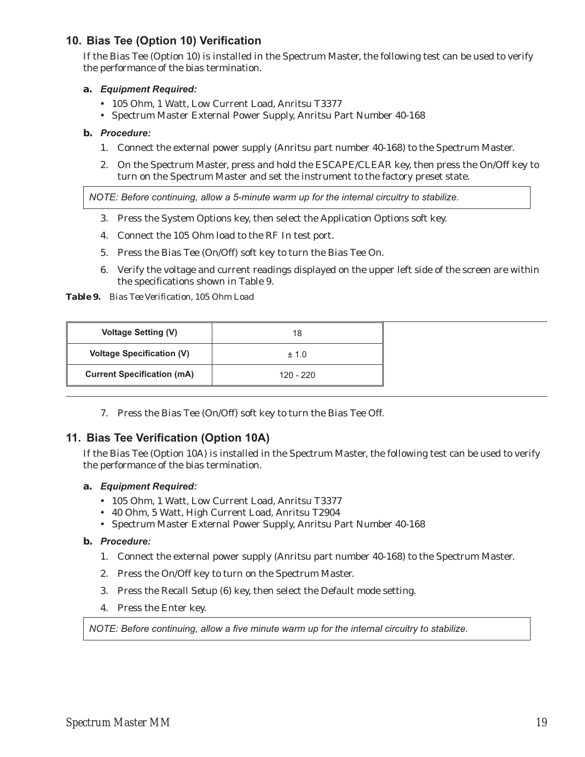# **10. Bias Tee (Option 10) Verification**

If the Bias Tee (Option 10) is installed in the Spectrum Master, the following test can be used to verify the performance of the bias termination.

## **a.** *Equipment Required:*

- 105 Ohm, 1 Watt, Low Current Load, Anritsu T3377
- Spectrum Master External Power Supply, Anritsu Part Number 40-168

## **b.** *Procedure:*

- 1. Connect the external power supply (Anritsu part number 40-168) to the Spectrum Master.
- 2. On the Spectrum Master, press and hold the ESCAPE/CLEAR key, then press the On/Off key to turn on the Spectrum Master and set the instrument to the factory preset state.

*NOTE: Before continuing, allow a 5-minute warm up for the internal circuitry to stabilize.*

- 3. Press the System Options key, then select the Application Options soft key.
- 4. Connect the 105 Ohm load to the RF In test port.
- 5. Press the Bias Tee (On/Off) soft key to turn the Bias Tee On.
- 6. Verify the voltage and current readings displayed on the upper left side of the screen are within the specifications shown in Table 9.

*Table 9. Bias Tee Verification, 105 Ohm Load*

| <b>Voltage Setting (V)</b>        | 18          |
|-----------------------------------|-------------|
| <b>Voltage Specification (V)</b>  | $+1.0$      |
| <b>Current Specification (mA)</b> | $120 - 220$ |

7. Press the Bias Tee (On/Off) soft key to turn the Bias Tee Off.

# **11. Bias Tee Verification (Option 10A)**

If the Bias Tee (Option 10A) is installed in the Spectrum Master, the following test can be used to verify the performance of the bias termination.

## **a.** *Equipment Required:*

- 105 Ohm, 1 Watt, Low Current Load, Anritsu T3377
- 40 Ohm, 5 Watt, High Current Load, Anritsu T2904
- Spectrum Master External Power Supply, Anritsu Part Number 40-168

## **b.** *Procedure:*

- 1. Connect the external power supply (Anritsu part number 40-168) to the Spectrum Master.
- 2. Press the On/Off key to turn on the Spectrum Master.
- 3. Press the Recall Setup (6) key, then select the Default mode setting.
- 4. Press the Enter key.

*NOTE: Before continuing, allow a five minute warm up for the internal circuitry to stabilize.*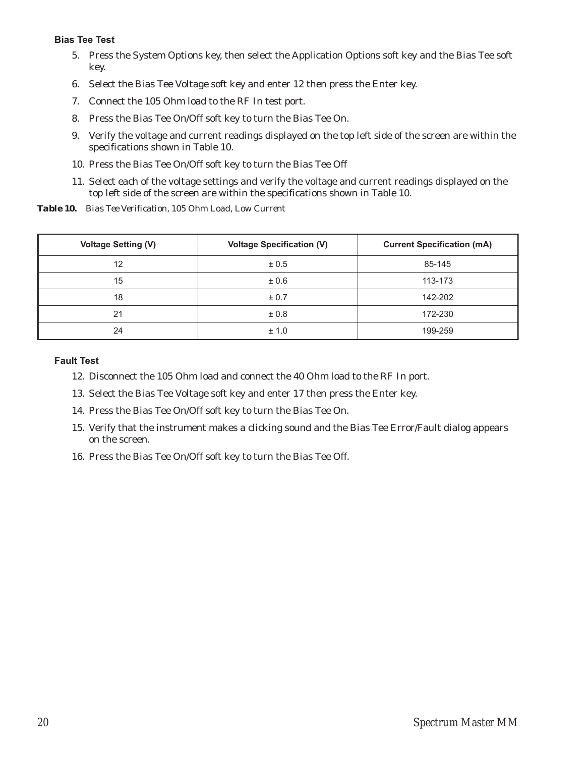## **Bias Tee Test**

- 5. Press the System Options key, then select the Application Options soft key and the Bias Tee soft key.
- 6. Select the Bias Tee Voltage soft key and enter 12 then press the Enter key.
- 7. Connect the 105 Ohm load to the RF In test port.
- 8. Press the Bias Tee On/Off soft key to turn the Bias Tee On.
- 9. Verify the voltage and current readings displayed on the top left side of the screen are within the specifications shown in Table 10.
- 10. Press the Bias Tee On/Off soft key to turn the Bias Tee Off
- 11. Select each of the voltage settings and verify the voltage and current readings displayed on the top left side of the screen are within the specifications shown in Table 10.

*Table 10. Bias Tee Verification, 105 Ohm Load, Low Current*

| <b>Voltage Setting (V)</b> | <b>Voltage Specification (V)</b> | <b>Current Specification (mA)</b> |
|----------------------------|----------------------------------|-----------------------------------|
| 12                         | ± 0.5                            | 85-145                            |
| 15                         | ± 0.6                            | 113-173                           |
| 18                         | ± 0.7                            | 142-202                           |
| 21                         | ±0.8                             | 172-230                           |
| 24                         | ± 1.0                            | 199-259                           |

#### **Fault Test**

- 12. Disconnect the 105 Ohm load and connect the 40 Ohm load to the RF In port.
- 13. Select the Bias Tee Voltage soft key and enter 17 then press the Enter key.
- 14. Press the Bias Tee On/Off soft key to turn the Bias Tee On.
- 15. Verify that the instrument makes a clicking sound and the Bias Tee Error/Fault dialog appears on the screen.
- 16. Press the Bias Tee On/Off soft key to turn the Bias Tee Off.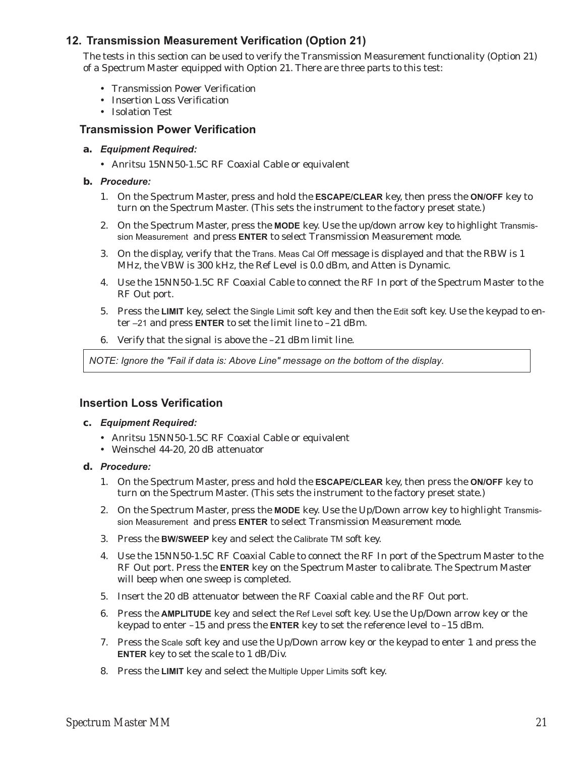# **12. Transmission Measurement Verification (Option 21)**

The tests in this section can be used to verify the Transmission Measurement functionality (Option 21) of a Spectrum Master equipped with Option 21. There are three parts to this test:

- Transmission Power Verification
- Insertion Loss Verification
- Isolation Test

# **Transmission Power Verification**

- **a.** *Equipment Required:*
	- Anritsu 15NN50-1.5C RF Coaxial Cable or equivalent

#### **b.** *Procedure:*

- 1. On the Spectrum Master, press and hold the **ESCAPE/CLEAR** key, then press the **ON/OFF** key to turn on the Spectrum Master. (This sets the instrument to the factory preset state.)
- 2. On the Spectrum Master, press the **MODE** key. Use the up/down arrow key to highlight Transmission Measurement and press **ENTER** to select Transmission Measurement mode.
- 3. On the display, verify that the Trans. Meas Cal Off message is displayed and that the RBW is 1 MHz, the VBW is 300 kHz, the Ref Level is 0.0 dBm, and Atten is Dynamic.
- 4. Use the 15NN50-1.5C RF Coaxial Cable to connect the RF In port of the Spectrum Master to the RF Out port.
- 5. Press the **LIMIT** key, select the Single Limit soft key and then the Edit soft key. Use the keypad to enter –21 and press **ENTER** to set the limit line to –21 dBm.
- 6. Verify that the signal is above the –21 dBm limit line.

*NOTE: Ignore the "Fail if data is: Above Line" message on the bottom of the display.*

## **Insertion Loss Verification**

#### **c.** *Equipment Required:*

- Anritsu 15NN50-1.5C RF Coaxial Cable or equivalent
- Weinschel 44-20, 20 dB attenuator

#### **d.** *Procedure:*

- 1. On the Spectrum Master, press and hold the **ESCAPE/CLEAR** key, then press the **ON/OFF** key to turn on the Spectrum Master. (This sets the instrument to the factory preset state.)
- 2. On the Spectrum Master, press the **MODE** key. Use the Up/Down arrow key to highlight Transmission Measurement and press **ENTER** to select Transmission Measurement mode.
- 3. Press the **BW/SWEEP** key and select the Calibrate TM soft key.
- 4. Use the 15NN50-1.5C RF Coaxial Cable to connect the RF In port of the Spectrum Master to the RF Out port. Press the **ENTER** key on the Spectrum Master to calibrate. The Spectrum Master will beep when one sweep is completed.
- 5. Insert the 20 dB attenuator between the RF Coaxial cable and the RF Out port.
- 6. Press the **AMPLITUDE** key and select the Ref Level soft key. Use the Up/Down arrow key or the keypad to enter –15 and press the **ENTER** key to set the reference level to –15 dBm.
- 7. Press the Scale soft key and use the Up/Down arrow key or the keypad to enter 1 and press the **ENTER** key to set the scale to 1 dB/Div.
- 8. Press the **LIMIT** key and select the Multiple Upper Limits soft key.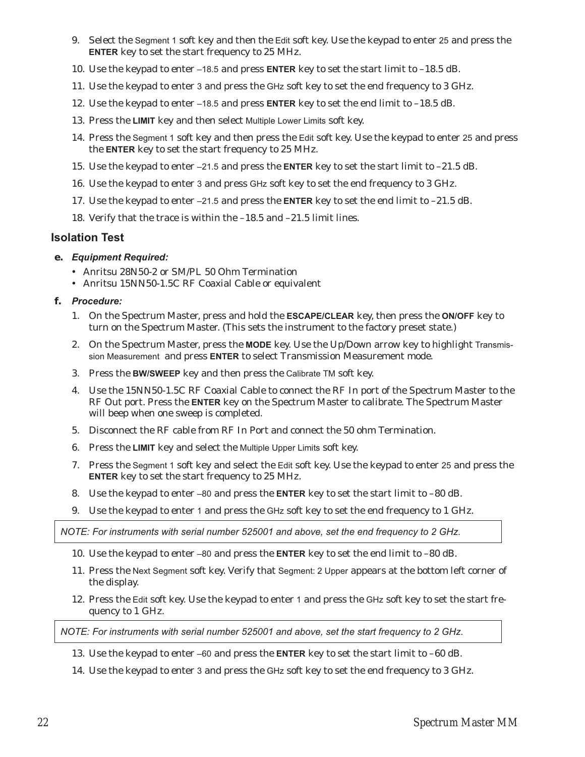- 9. Select the Segment 1 soft key and then the Edit soft key. Use the keypad to enter 25 and press the **ENTER** key to set the start frequency to 25 MHz.
- 10. Use the keypad to enter –18.5 and press **ENTER** key to set the start limit to –18.5 dB.
- 11. Use the keypad to enter 3 and press the GHz soft key to set the end frequency to 3 GHz.
- 12. Use the keypad to enter –18.5 and press **ENTER** key to set the end limit to –18.5 dB.
- 13. Press the **LIMIT** key and then select Multiple Lower Limits soft key.
- 14. Press the Segment 1 soft key and then press the Edit soft key. Use the keypad to enter 25 and press the **ENTER** key to set the start frequency to 25 MHz.
- 15. Use the keypad to enter –21.5 and press the **ENTER** key to set the start limit to –21.5 dB.
- 16. Use the keypad to enter 3 and press GHz soft key to set the end frequency to 3 GHz.
- 17. Use the keypad to enter –21.5 and press the **ENTER** key to set the end limit to –21.5 dB.
- 18. Verify that the trace is within the –18.5 and –21.5 limit lines.

#### **Isolation Test**

- **e.** *Equipment Required:*
	- Anritsu 28N50-2 or SM/PL 50 Ohm Termination
	- Anritsu 15NN50-1.5C RF Coaxial Cable or equivalent
- **f.** *Procedure:*
	- 1. On the Spectrum Master, press and hold the **ESCAPE/CLEAR** key, then press the **ON/OFF** key to turn on the Spectrum Master. (This sets the instrument to the factory preset state.)
	- 2. On the Spectrum Master, press the **MODE** key. Use the Up/Down arrow key to highlight Transmission Measurement and press **ENTER** to select Transmission Measurement mode.
	- 3. Press the **BW/SWEEP** key and then press the Calibrate TM soft key.
	- 4. Use the 15NN50-1.5C RF Coaxial Cable to connect the RF In port of the Spectrum Master to the RF Out port. Press the **ENTER** key on the Spectrum Master to calibrate. The Spectrum Master will beep when one sweep is completed.
	- 5. Disconnect the RF cable from RF In Port and connect the 50 ohm Termination.
	- 6. Press the **LIMIT** key and select the Multiple Upper Limits soft key.
	- 7. Press the Segment 1 soft key and select the Edit soft key. Use the keypad to enter 25 and press the **ENTER** key to set the start frequency to 25 MHz.
	- 8. Use the keypad to enter –80 and press the **ENTER** key to set the start limit to –80 dB.
	- 9. Use the keypad to enter 1 and press the GHz soft key to set the end frequency to 1 GHz.

*NOTE: For instruments with serial number 525001 and above, set the end frequency to 2 GHz.*

- 10. Use the keypad to enter –80 and press the **ENTER** key to set the end limit to –80 dB.
- 11. Press the Next Segment soft key. Verify that Segment: 2 Upper appears at the bottom left corner of the display.
- 12. Press the Edit soft key. Use the keypad to enter 1 and press the GHz soft key to set the start frequency to 1 GHz.

*NOTE: For instruments with serial number 525001 and above, set the start frequency to 2 GHz.*

13. Use the keypad to enter –60 and press the **ENTER** key to set the start limit to –60 dB.

14. Use the keypad to enter 3 and press the GHz soft key to set the end frequency to 3 GHz.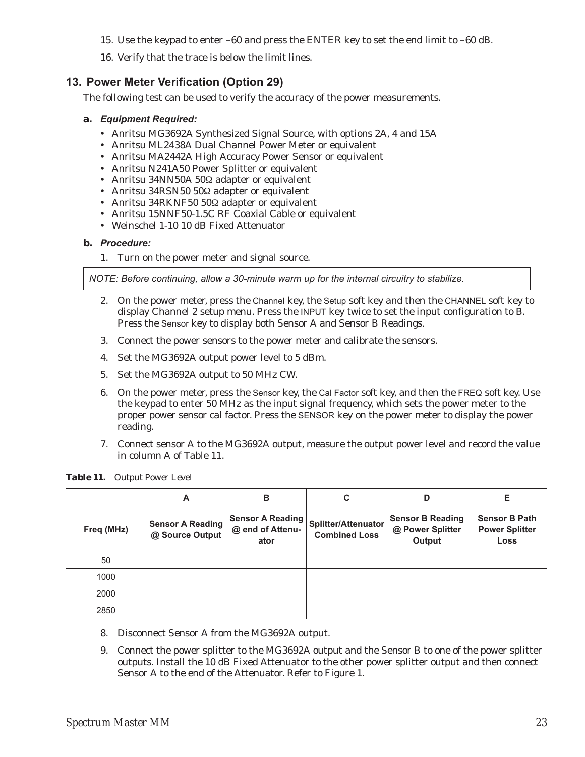- 15. Use the keypad to enter –60 and press the ENTER key to set the end limit to –60 dB.
- 16. Verify that the trace is below the limit lines.

# **13. Power Meter Verification (Option 29)**

The following test can be used to verify the accuracy of the power measurements.

#### **a.** *Equipment Required:*

- Anritsu MG3692A Synthesized Signal Source, with options 2A, 4 and 15A
- Anritsu ML2438A Dual Channel Power Meter or equivalent
- Anritsu MA2442A High Accuracy Power Sensor or equivalent
- Anritsu N241A50 Power Splitter or equivalent
- Anritsu 34NN50A 50Ω adapter or equivalent
- Anritsu 34RSN50 50Ω adapter or equivalent
- Anritsu 34RKNF50 50Ω adapter or equivalent
- Anritsu 15NNF50-1.5C RF Coaxial Cable or equivalent
- Weinschel 1-10 10 dB Fixed Attenuator

#### **b.** *Procedure:*

1. Turn on the power meter and signal source.

*NOTE: Before continuing, allow a 30-minute warm up for the internal circuitry to stabilize.*

- 2. On the power meter, press the Channel key, the Setup soft key and then the CHANNEL soft key to display Channel 2 setup menu. Press the INPUT key twice to set the input configuration to B. Press the Sensor key to display both Sensor A and Sensor B Readings.
- 3. Connect the power sensors to the power meter and calibrate the sensors.
- 4. Set the MG3692A output power level to 5 dBm.
- 5. Set the MG3692A output to 50 MHz CW.
- 6. On the power meter, press the Sensor key, the Cal Factor soft key, and then the FREQ soft key. Use the keypad to enter 50 MHz as the input signal frequency, which sets the power meter to the proper power sensor cal factor. Press the SENSOR key on the power meter to display the power reading.
- 7. Connect sensor A to the MG3692A output, measure the output power level and record the value in column A of Table 11.

|            | A                                          | в                                                   | C                                           | D                                                     | Е                                                     |
|------------|--------------------------------------------|-----------------------------------------------------|---------------------------------------------|-------------------------------------------------------|-------------------------------------------------------|
| Freq (MHz) | <b>Sensor A Reading</b><br>@ Source Output | <b>Sensor A Reading</b><br>@ end of Attenu-<br>ator | Splitter/Attenuator<br><b>Combined Loss</b> | <b>Sensor B Reading</b><br>@ Power Splitter<br>Output | <b>Sensor B Path</b><br><b>Power Splitter</b><br>Loss |
| 50         |                                            |                                                     |                                             |                                                       |                                                       |
| 1000       |                                            |                                                     |                                             |                                                       |                                                       |
| 2000       |                                            |                                                     |                                             |                                                       |                                                       |
| 2850       |                                            |                                                     |                                             |                                                       |                                                       |

*Table 11. Output Power Level*

- 8. Disconnect Sensor A from the MG3692A output.
- 9. Connect the power splitter to the MG3692A output and the Sensor B to one of the power splitter outputs. Install the 10 dB Fixed Attenuator to the other power splitter output and then connect Sensor A to the end of the Attenuator. Refer to Figure 1.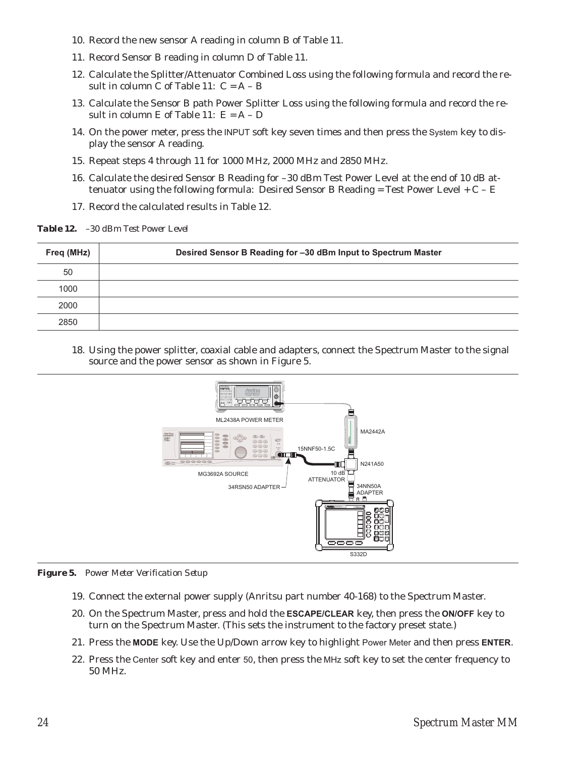- 10. Record the new sensor A reading in column B of Table 11.
- 11. Record Sensor B reading in column D of Table 11.
- 12. Calculate the Splitter/Attenuator Combined Loss using the following formula and record the result in column C of Table 11:  $C = A - B$
- 13. Calculate the Sensor B path Power Splitter Loss using the following formula and record the result in column E of Table 11:  $E = A - D$
- 14. On the power meter, press the INPUT soft key seven times and then press the System key to display the sensor A reading.
- 15. Repeat steps 4 through 11 for 1000 MHz, 2000 MHz and 2850 MHz.
- 16. Calculate the desired Sensor B Reading for –30 dBm Test Power Level at the end of 10 dB attenuator using the following formula: Desired Sensor B Reading = Test Power Level +  $C - E$
- 17. Record the calculated results in Table 12.

*Table 12. –30 dBm Test Power Level*

| Freq (MHz) | Desired Sensor B Reading for -30 dBm Input to Spectrum Master |
|------------|---------------------------------------------------------------|
| 50         |                                                               |
| 1000       |                                                               |
| 2000       |                                                               |
| 2850       |                                                               |

18. Using the power splitter, coaxial cable and adapters, connect the Spectrum Master to the signal source and the power sensor as shown in Figure 5.



*Figure 5. Power Meter Verification Setup*

- 19. Connect the external power supply (Anritsu part number 40-168) to the Spectrum Master.
- 20. On the Spectrum Master, press and hold the **ESCAPE/CLEAR** key, then press the **ON/OFF** key to turn on the Spectrum Master. (This sets the instrument to the factory preset state.)
- 21. Press the **MODE** key. Use the Up/Down arrow key to highlight Power Meter and then press **ENTER**.
- 22. Press the Center soft key and enter 50, then press the MHz soft key to set the center frequency to 50 MHz.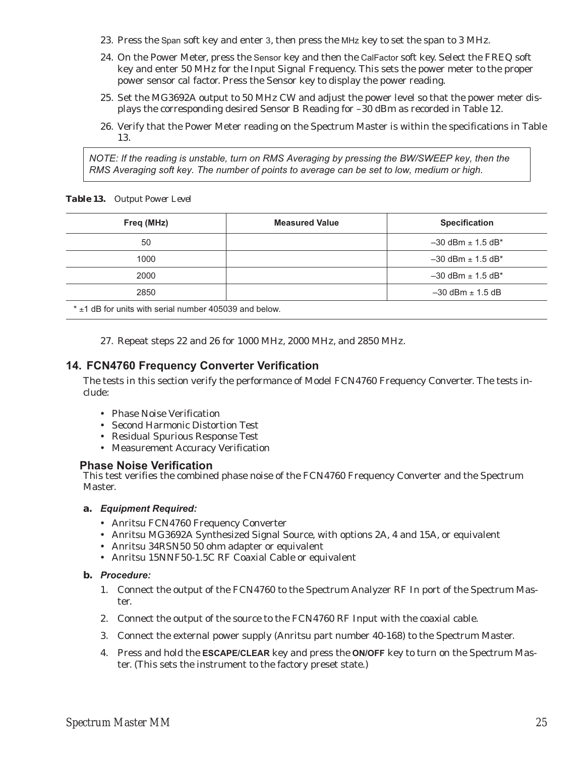- 23. Press the Span soft key and enter 3, then press the MHz key to set the span to 3 MHz.
- 24. On the Power Meter, press the Sensor key and then the CalFactor soft key. Select the FREQ soft key and enter 50 MHz for the Input Signal Frequency. This sets the power meter to the proper power sensor cal factor. Press the Sensor key to display the power reading.
- 25. Set the MG3692A output to 50 MHz CW and adjust the power level so that the power meter displays the corresponding desired Sensor B Reading for –30 dBm as recorded in Table 12.
- 26. Verify that the Power Meter reading on the Spectrum Master is within the specifications in Table 13.

*NOTE: If the reading is unstable, turn on RMS Averaging by pressing the BW/SWEEP key, then the RMS Averaging soft key. The number of points to average can be set to low, medium or high.*

*Table 13. Output Power Level*

| Freq (MHz) | <b>Measured Value</b> | <b>Specification</b>                |
|------------|-----------------------|-------------------------------------|
| 50         |                       | $-30$ dBm $\pm$ 1.5 dB*             |
| 1000       |                       | $-30$ dBm $\pm$ 1.5 dB*             |
| 2000       |                       | $-30$ dBm $\pm$ 1.5 dB <sup>*</sup> |
| 2850       |                       | $-30$ dBm $\pm$ 1.5 dB              |
|            |                       |                                     |

 $*$   $\pm$ 1 dB for units with serial number 405039 and below.

27. Repeat steps 22 and 26 for 1000 MHz, 2000 MHz, and 2850 MHz.

# **14. FCN4760 Frequency Converter Verification**

The tests in this section verify the performance of Model FCN4760 Frequency Converter. The tests include:

- Phase Noise Verification
- Second Harmonic Distortion Test
- Residual Spurious Response Test
- Measurement Accuracy Verification

## **Phase Noise Verification**

This test verifies the combined phase noise of the FCN4760 Frequency Converter and the Spectrum Master.

#### **a.** *Equipment Required:*

- Anritsu FCN4760 Frequency Converter
- Anritsu MG3692A Synthesized Signal Source, with options 2A, 4 and 15A, or equivalent
- Anritsu 34RSN50 50 ohm adapter or equivalent
- Anritsu 15NNF50-1.5C RF Coaxial Cable or equivalent

#### **b.** *Procedure:*

- 1. Connect the output of the FCN4760 to the Spectrum Analyzer RF In port of the Spectrum Master.
- 2. Connect the output of the source to the FCN4760 RF Input with the coaxial cable.
- 3. Connect the external power supply (Anritsu part number 40-168) to the Spectrum Master.
- 4. Press and hold the **ESCAPE/CLEAR** key and press the **ON/OFF** key to turn on the Spectrum Master. (This sets the instrument to the factory preset state.)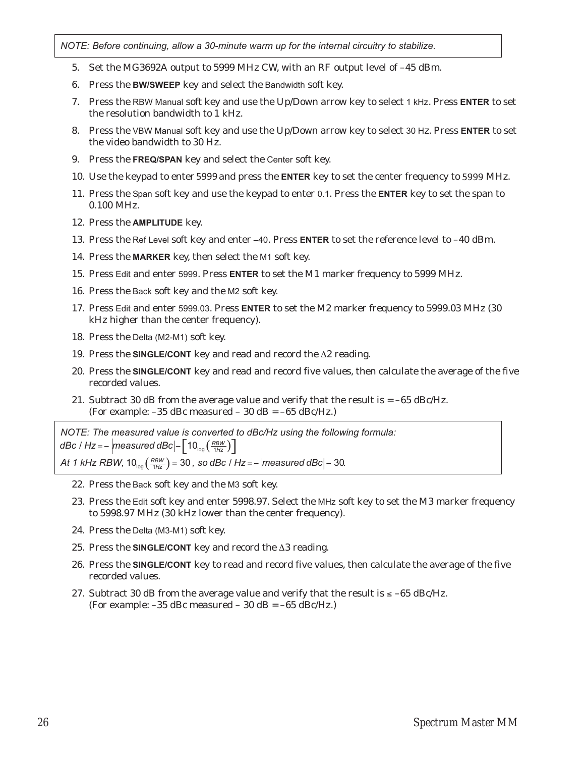*NOTE: Before continuing, allow a 30-minute warm up for the internal circuitry to stabilize.*

- 5. Set the MG3692A output to 5999 MHz CW, with an RF output level of –45 dBm.
- 6. Press the **BW/SWEEP** key and select the Bandwidth soft key.
- 7. Press the RBW Manual soft key and use the Up/Down arrow key to select 1 kHz. Press **ENTER** to set the resolution bandwidth to 1 kHz.
- 8. Press the VBW Manual soft key and use the Up/Down arrow key to select 30 Hz. Press **ENTER** to set the video bandwidth to 30 Hz.
- 9. Press the **FREQ/SPAN** key and select the Center soft key.
- 10. Use the keypad to enter 5999 and press the ENTER key to set the center frequency to 5999 MHz.
- 11. Press the Span soft key and use the keypad to enter 0.1. Press the **ENTER** key to set the span to 0.100 MHz.
- 12. Press the **AMPLITUDE** key.
- 13. Press the Ref Level soft key and enter –40. Press **ENTER** to set the reference level to –40 dBm.
- 14. Press the **MARKER** key, then select the M1 soft key.
- 15. Press Edit and enter 5999. Press **ENTER** to set the M1 marker frequency to 5999 MHz.
- 16. Press the Back soft key and the M2 soft key.
- 17. Press Edit and enter 5999.03. Press **ENTER** to set the M2 marker frequency to 5999.03 MHz (30 kHz higher than the center frequency).
- 18. Press the Delta (M2-M1) soft key.
- 19. Press the **SINGLE/CONT** key and read and record the  $\Delta 2$  reading.
- 20. Press the **SINGLE/CONT** key and read and record five values, then calculate the average of the five recorded values.
- 21. Subtract 30 dB from the average value and verify that the result is  $= -65$  dBc/Hz. (For example:  $-35$  dBc measured  $-30$  dB =  $-65$  dBc/Hz.)

*NOTE: The measured value is converted to dBc/Hz using the following formula: dBc | Hz* = –  $\left|$  *measured dBc* $\left| -\left[ 10_{\log} \left( \frac{RBW}{1Hz} \right) \right] \right|$ 

*At 1 kHz RBW,*  $10_{log}$  $\left(\frac{RBW}{1Hz}\right)$  = 30 , so dBc / Hz = –  $|measured\,dBc|$  – 30.

- 22. Press the Back soft key and the M3 soft key.
- 23. Press the Edit soft key and enter 5998.97. Select the MHz soft key to set the M3 marker frequency to 5998.97 MHz (30 kHz lower than the center frequency).
- 24. Press the Delta (M3-M1) soft key.
- 25. Press the **SINGLE/CONT** key and record the  $\Delta 3$  reading.
- 26. Press the **SINGLE/CONT** key to read and record five values, then calculate the average of the five recorded values.
- 27. Subtract 30 dB from the average value and verify that the result is  $\le -65$  dBc/Hz. (For example:  $-35$  dBc measured  $-30$  dB =  $-65$  dBc/Hz.)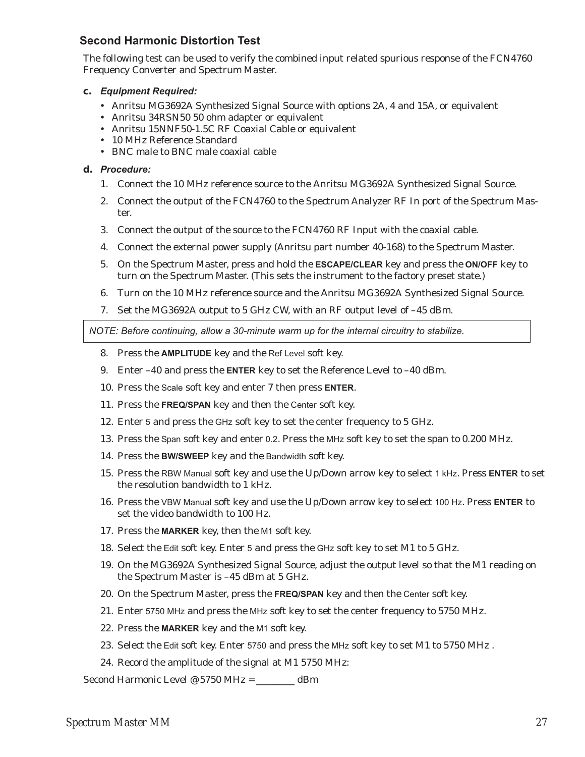# **Second Harmonic Distortion Test**

The following test can be used to verify the combined input related spurious response of the FCN4760 Frequency Converter and Spectrum Master.

#### **c.** *Equipment Required:*

- Anritsu MG3692A Synthesized Signal Source with options 2A, 4 and 15A, or equivalent
- Anritsu 34RSN50 50 ohm adapter or equivalent
- Anritsu 15NNF50-1.5C RF Coaxial Cable or equivalent
- 10 MHz Reference Standard
- BNC male to BNC male coaxial cable

#### **d.** *Procedure:*

- 1. Connect the 10 MHz reference source to the Anritsu MG3692A Synthesized Signal Source.
- 2. Connect the output of the FCN4760 to the Spectrum Analyzer RF In port of the Spectrum Master.
- 3. Connect the output of the source to the FCN4760 RF Input with the coaxial cable.
- 4. Connect the external power supply (Anritsu part number 40-168) to the Spectrum Master.
- 5. On the Spectrum Master, press and hold the **ESCAPE/CLEAR** key and press the **ON/OFF** key to turn on the Spectrum Master. (This sets the instrument to the factory preset state.)
- 6. Turn on the 10 MHz reference source and the Anritsu MG3692A Synthesized Signal Source.
- 7. Set the MG3692A output to 5 GHz CW, with an RF output level of –45 dBm.

*NOTE: Before continuing, allow a 30-minute warm up for the internal circuitry to stabilize.*

- 8. Press the **AMPLITUDE** key and the Ref Level soft key.
- 9. Enter –40 and press the **ENTER** key to set the Reference Level to –40 dBm.
- 10. Press the Scale soft key and enter 7 then press **ENTER**.
- 11. Press the **FREQ/SPAN** key and then the Center soft key.
- 12. Enter 5 and press the GHz soft key to set the center frequency to 5 GHz.
- 13. Press the Span soft key and enter 0.2. Press the MHz soft key to set the span to 0.200 MHz.
- 14. Press the **BW/SWEEP** key and the Bandwidth soft key.
- 15. Press the RBW Manual soft key and use the Up/Down arrow key to select 1 kHz. Press **ENTER** to set the resolution bandwidth to 1 kHz.
- 16. Press the VBW Manual soft key and use the Up/Down arrow key to select 100 Hz. Press **ENTER** to set the video bandwidth to 100 Hz.
- 17. Press the **MARKER** key, then the M1 soft key.
- 18. Select the Edit soft key. Enter 5 and press the GHz soft key to set M1 to 5 GHz.
- 19. On the MG3692A Synthesized Signal Source, adjust the output level so that the M1 reading on the Spectrum Master is –45 dBm at 5 GHz.
- 20. On the Spectrum Master, press the **FREQ/SPAN** key and then the Center soft key.
- 21. Enter 5750 MHz and press the MHz soft key to set the center frequency to 5750 MHz.
- 22. Press the **MARKER** key and the M1 soft key.
- 23. Select the Edit soft key. Enter 5750 and press the MHz soft key to set M1 to 5750 MHz .
- 24. Record the amplitude of the signal at M1 5750 MHz:

Second Harmonic Level @ 5750 MHz = \_\_\_\_\_\_\_\_ dBm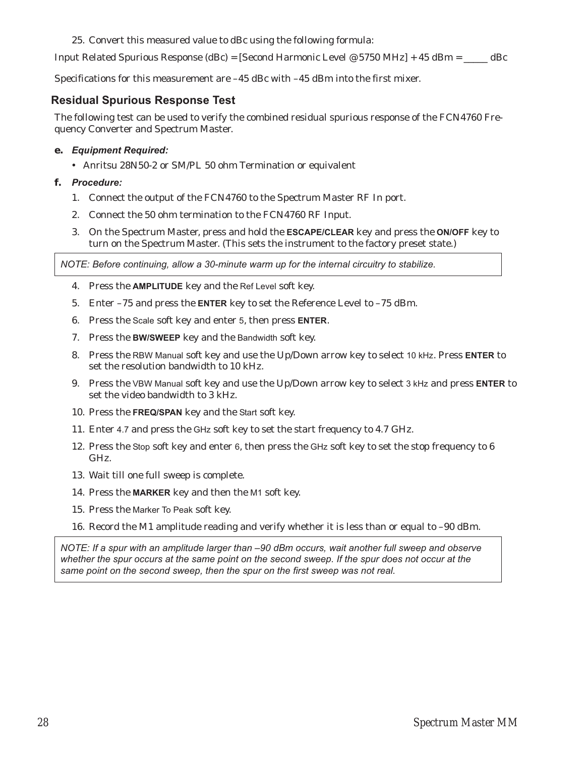## 25. Convert this measured value to dBc using the following formula:

Input Related Spurious Response (dBc) = [Second Harmonic Level @ 5750 MHz] + 45 dBm =  $\_\_\_\_\_\$  dBc

Specifications for this measurement are –45 dBc with –45 dBm into the first mixer.

# **Residual Spurious Response Test**

The following test can be used to verify the combined residual spurious response of the FCN4760 Frequency Converter and Spectrum Master.

## **e.** *Equipment Required:*

- Anritsu 28N50-2 or SM/PL 50 ohm Termination or equivalent

## **f.** *Procedure:*

- 1. Connect the output of the FCN4760 to the Spectrum Master RF In port.
- 2. Connect the 50 ohm termination to the FCN4760 RF Input.
- 3. On the Spectrum Master, press and hold the **ESCAPE/CLEAR** key and press the **ON/OFF** key to turn on the Spectrum Master. (This sets the instrument to the factory preset state.)

*NOTE: Before continuing, allow a 30-minute warm up for the internal circuitry to stabilize.*

- 4. Press the **AMPLITUDE** key and the Ref Level soft key.
- 5. Enter –75 and press the **ENTER** key to set the Reference Level to –75 dBm.
- 6. Press the Scale soft key and enter 5, then press **ENTER**.
- 7. Press the **BW/SWEEP** key and the Bandwidth soft key.
- 8. Press the RBW Manual soft key and use the Up/Down arrow key to select 10 kHz. Press **ENTER** to set the resolution bandwidth to 10 kHz.
- 9. Press the VBW Manual soft key and use the Up/Down arrow key to select 3 kHz and press **ENTER** to set the video bandwidth to 3 kHz.
- 10. Press the **FREQ/SPAN** key and the Start soft key.
- 11. Enter 4.7 and press the GHz soft key to set the start frequency to 4.7 GHz.
- 12. Press the Stop soft key and enter 6, then press the GHz soft key to set the stop frequency to 6 GHz.
- 13. Wait till one full sweep is complete.
- 14. Press the **MARKER** key and then the M1 soft key.
- 15. Press the Marker To Peak soft key.
- 16. Record the M1 amplitude reading and verify whether it is less than or equal to –90 dBm.

*NOTE: If a spur with an amplitude larger than –90 dBm occurs, wait another full sweep and observe whether the spur occurs at the same point on the second sweep. If the spur does not occur at the same point on the second sweep, then the spur on the first sweep was not real.*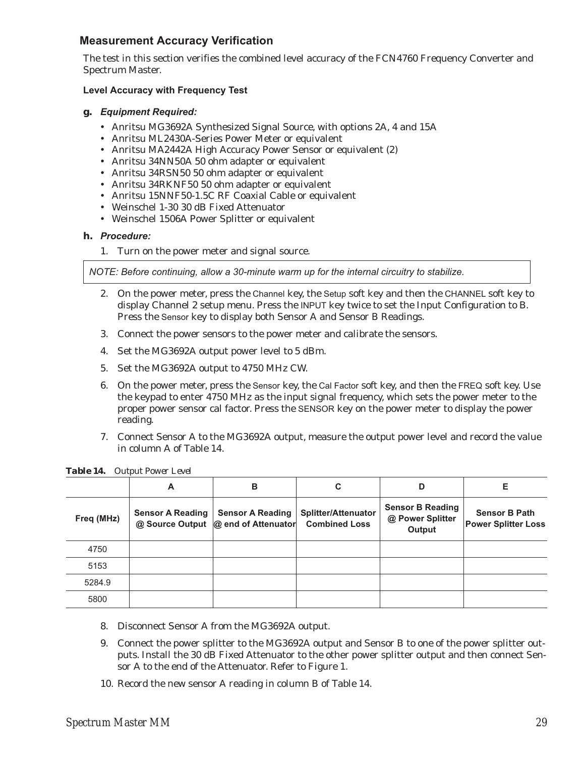# **Measurement Accuracy Verification**

The test in this section verifies the combined level accuracy of the FCN4760 Frequency Converter and Spectrum Master.

## **Level Accuracy with Frequency Test**

#### **g.** *Equipment Required:*

- Anritsu MG3692A Synthesized Signal Source, with options 2A, 4 and 15A
- Anritsu ML2430A-Series Power Meter or equivalent
- Anritsu MA2442A High Accuracy Power Sensor or equivalent (2)
- Anritsu 34NN50A 50 ohm adapter or equivalent
- Anritsu 34RSN50 50 ohm adapter or equivalent
- Anritsu 34RKNF50 50 ohm adapter or equivalent
- Anritsu 15NNF50-1.5C RF Coaxial Cable or equivalent
- Weinschel 1-30 30 dB Fixed Attenuator
- Weinschel 1506A Power Splitter or equivalent

#### **h.** *Procedure:*

1. Turn on the power meter and signal source.

*NOTE: Before continuing, allow a 30-minute warm up for the internal circuitry to stabilize.*

- 2. On the power meter, press the Channel key, the Setup soft key and then the CHANNEL soft key to display Channel 2 setup menu. Press the INPUT key twice to set the Input Configuration to B. Press the Sensor key to display both Sensor A and Sensor B Readings.
- 3. Connect the power sensors to the power meter and calibrate the sensors.
- 4. Set the MG3692A output power level to 5 dBm.
- 5. Set the MG3692A output to 4750 MHz CW.
- 6. On the power meter, press the Sensor key, the Cal Factor soft key, and then the FREQ soft key. Use the keypad to enter 4750 MHz as the input signal frequency, which sets the power meter to the proper power sensor cal factor. Press the SENSOR key on the power meter to display the power reading.
- 7. Connect Sensor A to the MG3692A output, measure the output power level and record the value in column A of Table 14.

|            | A                       | в                                                                | C                                                  | D                                                     | Е                                                  |
|------------|-------------------------|------------------------------------------------------------------|----------------------------------------------------|-------------------------------------------------------|----------------------------------------------------|
| Freq (MHz) | <b>Sensor A Reading</b> | <b>Sensor A Reading</b><br>@ Source Output   @ end of Attenuator | <b>Splitter/Attenuator</b><br><b>Combined Loss</b> | <b>Sensor B Reading</b><br>@ Power Splitter<br>Output | <b>Sensor B Path</b><br><b>Power Splitter Loss</b> |
| 4750       |                         |                                                                  |                                                    |                                                       |                                                    |
| 5153       |                         |                                                                  |                                                    |                                                       |                                                    |
| 5284.9     |                         |                                                                  |                                                    |                                                       |                                                    |
| 5800       |                         |                                                                  |                                                    |                                                       |                                                    |

*Table 14. Output Power Level*

- 8. Disconnect Sensor A from the MG3692A output.
- 9. Connect the power splitter to the MG3692A output and Sensor B to one of the power splitter outputs. Install the 30 dB Fixed Attenuator to the other power splitter output and then connect Sensor A to the end of the Attenuator. Refer to Figure 1.
- 10. Record the new sensor A reading in column B of Table 14.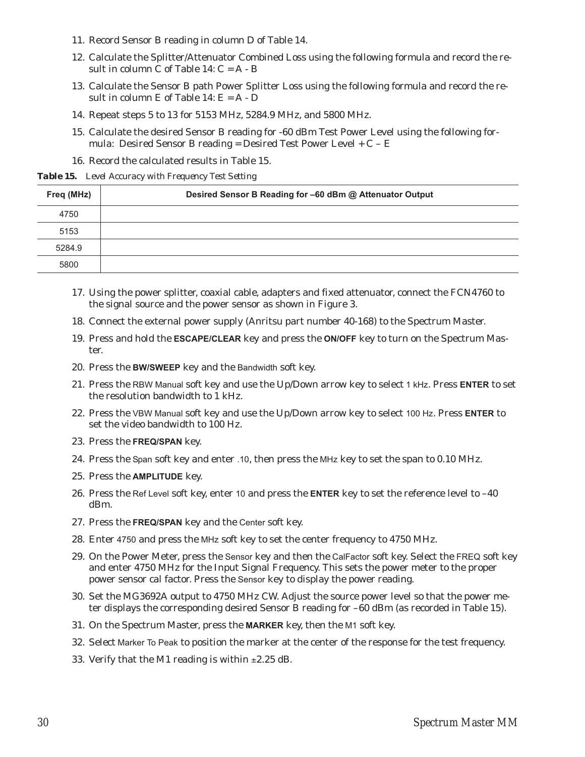- 11. Record Sensor B reading in column D of Table 14.
- 12. Calculate the Splitter/Attenuator Combined Loss using the following formula and record the result in column C of Table  $14: C = A - B$
- 13. Calculate the Sensor B path Power Splitter Loss using the following formula and record the result in column  $E$  of Table 14:  $E = A - D$
- 14. Repeat steps 5 to 13 for 5153 MHz, 5284.9 MHz, and 5800 MHz.
- 15. Calculate the desired Sensor B reading for -60 dBm Test Power Level using the following formula: Desired Sensor B reading = Desired Test Power Level +  $C - E$
- 16. Record the calculated results in Table 15.

*Table 15. Level Accuracy with Frequency Test Setting*

| Freq (MHz) | Desired Sensor B Reading for -60 dBm @ Attenuator Output |
|------------|----------------------------------------------------------|
| 4750       |                                                          |
| 5153       |                                                          |
| 5284.9     |                                                          |
| 5800       |                                                          |

- 17. Using the power splitter, coaxial cable, adapters and fixed attenuator, connect the FCN4760 to the signal source and the power sensor as shown in Figure 3.
- 18. Connect the external power supply (Anritsu part number 40-168) to the Spectrum Master.
- 19. Press and hold the **ESCAPE/CLEAR** key and press the **ON/OFF** key to turn on the Spectrum Master.
- 20. Press the **BW/SWEEP** key and the Bandwidth soft key.
- 21. Press the RBW Manual soft key and use the Up/Down arrow key to select 1 kHz. Press **ENTER** to set the resolution bandwidth to 1 kHz.
- 22. Press the VBW Manual soft key and use the Up/Down arrow key to select 100 Hz. Press **ENTER** to set the video bandwidth to 100 Hz.
- 23. Press the **FREQ/SPAN** key.
- 24. Press the Span soft key and enter .10, then press the MHz key to set the span to 0.10 MHz.
- 25. Press the **AMPLITUDE** key.
- 26. Press the Ref Level soft key, enter 10 and press the **ENTER** key to set the reference level to –40 dBm.
- 27. Press the **FREQ/SPAN** key and the Center soft key.
- 28. Enter 4750 and press the MHz soft key to set the center frequency to 4750 MHz.
- 29. On the Power Meter, press the Sensor key and then the CalFactor soft key. Select the FREQ soft key and enter 4750 MHz for the Input Signal Frequency. This sets the power meter to the proper power sensor cal factor. Press the Sensor key to display the power reading.
- 30. Set the MG3692A output to 4750 MHz CW. Adjust the source power level so that the power meter displays the corresponding desired Sensor B reading for –60 dBm (as recorded in Table 15).
- 31. On the Spectrum Master, press the **MARKER** key, then the M1 soft key.
- 32. Select Marker To Peak to position the marker at the center of the response for the test frequency.
- 33. Verify that the M1 reading is within  $\pm 2.25$  dB.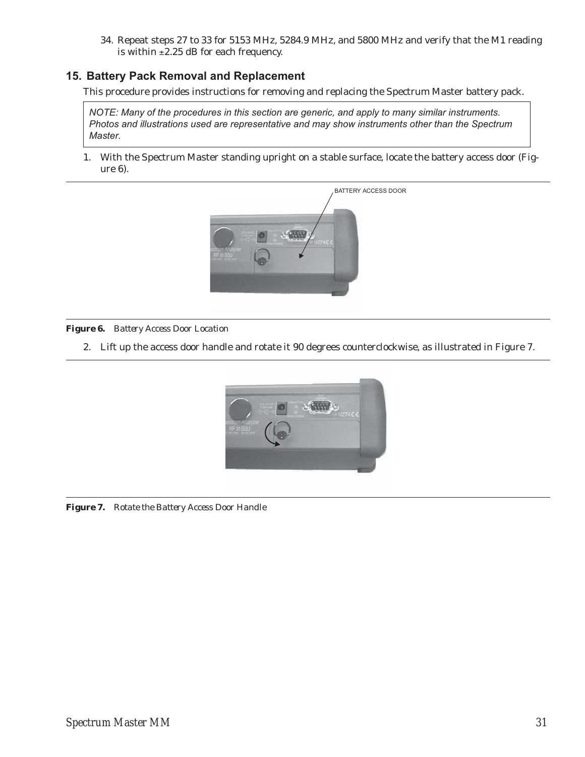34. Repeat steps 27 to 33 for 5153 MHz, 5284.9 MHz, and 5800 MHz and verify that the M1 reading is within  $\pm 2.25$  dB for each frequency.

# **15. Battery Pack Removal and Replacement**

This procedure provides instructions for removing and replacing the Spectrum Master battery pack.

*NOTE: Many of the procedures in this section are generic, and apply to many similar instruments. Photos and illustrations used are representative and may show instruments other than the Spectrum Master.*

1. With the Spectrum Master standing upright on a stable surface, locate the battery access door (Figure 6).



*Figure 6. Battery Access Door Location*

2. Lift up the access door handle and rotate it 90 degrees counterclockwise, as illustrated in Figure 7.



*Figure 7. Rotate the Battery Access Door Handle*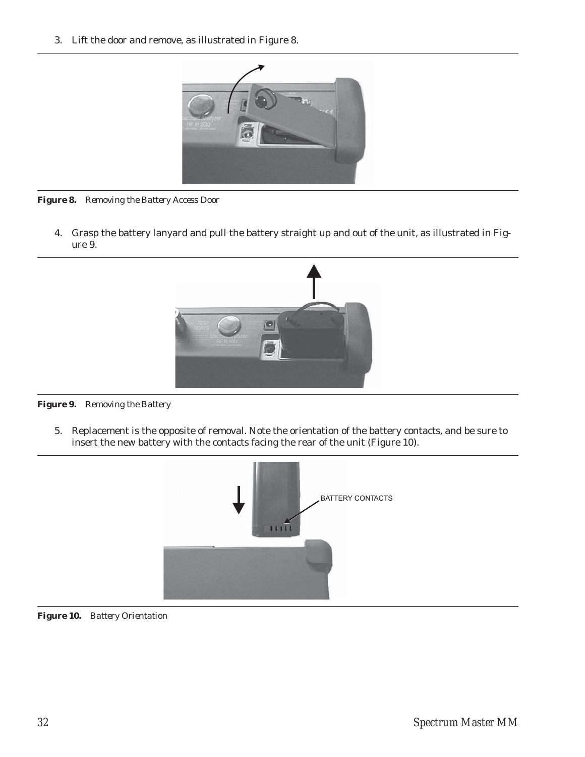3. Lift the door and remove, as illustrated in Figure 8.



*Figure 8. Removing the Battery Access Door*

4. Grasp the battery lanyard and pull the battery straight up and out of the unit, as illustrated in Figure 9.





5. Replacement is the opposite of removal. Note the orientation of the battery contacts, and be sure to insert the new battery with the contacts facing the rear of the unit (Figure 10).



*Figure 10. Battery Orientation*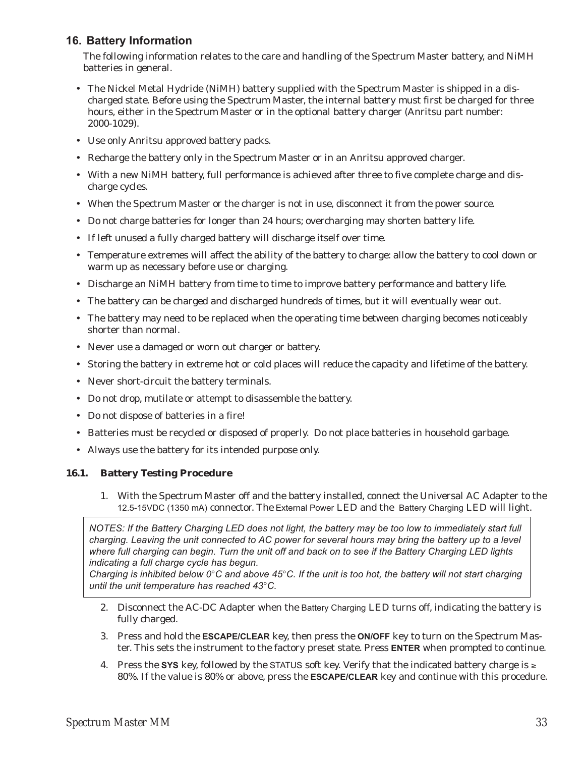# **16. Battery Information**

The following information relates to the care and handling of the Spectrum Master battery, and NiMH batteries in general.

- The Nickel Metal Hydride (NiMH) battery supplied with the Spectrum Master is shipped in a discharged state. Before using the Spectrum Master, the internal battery must first be charged for three hours, either in the Spectrum Master or in the optional battery charger (Anritsu part number: 2000-1029).
- Use only Anritsu approved battery packs.
- Recharge the battery only in the Spectrum Master or in an Anritsu approved charger.
- With a new NiMH battery, full performance is achieved after three to five complete charge and discharge cycles.
- When the Spectrum Master or the charger is not in use, disconnect it from the power source.
- Do not charge batteries for longer than 24 hours; overcharging may shorten battery life.
- If left unused a fully charged battery will discharge itself over time.
- Temperature extremes will affect the ability of the battery to charge: allow the battery to cool down or warm up as necessary before use or charging.
- Discharge an NiMH battery from time to time to improve battery performance and battery life.
- The battery can be charged and discharged hundreds of times, but it will eventually wear out.
- The battery may need to be replaced when the operating time between charging becomes noticeably shorter than normal.
- Never use a damaged or worn out charger or battery.
- Storing the battery in extreme hot or cold places will reduce the capacity and lifetime of the battery.
- Never short-circuit the battery terminals.
- Do not drop, mutilate or attempt to disassemble the battery.
- Do not dispose of batteries in a fire!
- Batteries must be recycled or disposed of properly. Do not place batteries in household garbage.
- Always use the battery for its intended purpose only.

## **16.1. Battery Testing Procedure**

1. With the Spectrum Master off and the battery installed, connect the Universal AC Adapter to the 12.5-15VDC (1350 mA) connector. The External Power LED and the Battery Charging LED will light.

*NOTES: If the Battery Charging LED does not light, the battery may be too low to immediately start full charging. Leaving the unit connected to AC power for several hours may bring the battery up to a level where full charging can begin. Turn the unit off and back on to see if the Battery Charging LED lights indicating a full charge cycle has begun.*

*Charging is inhibited below 0<sup>°</sup>C and above 45<sup>°</sup>C. If the unit is too hot, the battery will not start charging<br>Charging is inhibited below 0<sup>°</sup>C and above 45<sup>°</sup>C. If the unit is too hot, the battery will not start chargi* until the unit temperature has reached 43°C.

- 2. Disconnect the AC-DC Adapter when the Battery Charging LED turns off, indicating the battery is fully charged.
- 3. Press and hold the **ESCAPE/CLEAR** key, then press the **ON/OFF** key to turn on the Spectrum Master. This sets the instrument to the factory preset state. Press **ENTER** when prompted to continue.
- 4. Press the SYS key, followed by the STATUS soft key. Verify that the indicated battery charge is  $\geq$ 80%. If the value is 80% or above, press the **ESCAPE/CLEAR** key and continue with this procedure.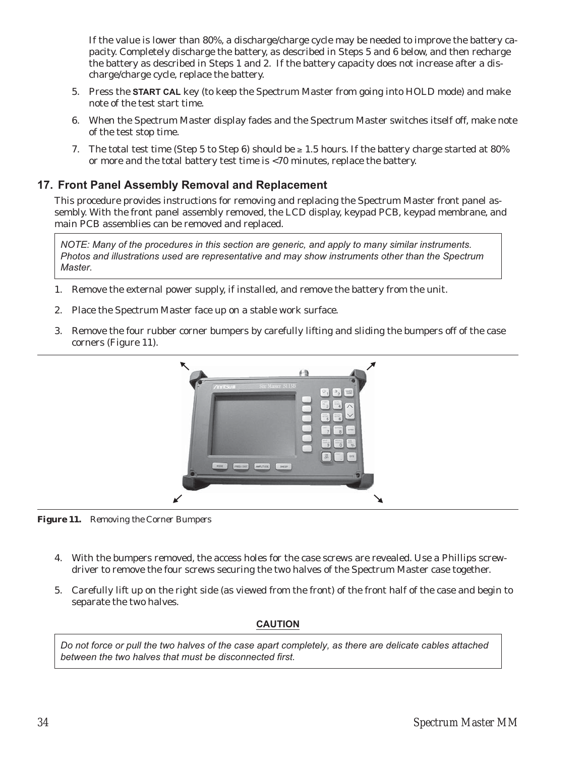If the value is lower than 80%, a discharge/charge cycle may be needed to improve the battery capacity. Completely discharge the battery, as described in Steps 5 and 6 below, and then recharge the battery as described in Steps 1 and 2. If the battery capacity does not increase after a discharge/charge cycle, replace the battery.

- 5. Press the **START CAL** key (to keep the Spectrum Master from going into HOLD mode) and make note of the test start time.
- 6. When the Spectrum Master display fades and the Spectrum Master switches itself off, make note of the test stop time.
- 7. The total test time (Step 5 to Step 6) should be  $\geq 1.5$  hours. If the battery charge started at 80% or more and the total battery test time is <70 minutes, replace the battery.

# **17. Front Panel Assembly Removal and Replacement**

This procedure provides instructions for removing and replacing the Spectrum Master front panel assembly. With the front panel assembly removed, the LCD display, keypad PCB, keypad membrane, and main PCB assemblies can be removed and replaced.

*NOTE: Many of the procedures in this section are generic, and apply to many similar instruments. Photos and illustrations used are representative and may show instruments other than the Spectrum Master.*

- 1. Remove the external power supply, if installed, and remove the battery from the unit.
- 2. Place the Spectrum Master face up on a stable work surface.
- 3. Remove the four rubber corner bumpers by carefully lifting and sliding the bumpers off of the case corners (Figure 11).



*Figure 11. Removing the Corner Bumpers*

- 4. With the bumpers removed, the access holes for the case screws are revealed. Use a Phillips screwdriver to remove the four screws securing the two halves of the Spectrum Master case together.
- 5. Carefully lift up on the right side (as viewed from the front) of the front half of the case and begin to separate the two halves.

## **CAUTION**

*Do not force or pull the two halves of the case apart completely, as there are delicate cables attached between the two halves that must be disconnected first.*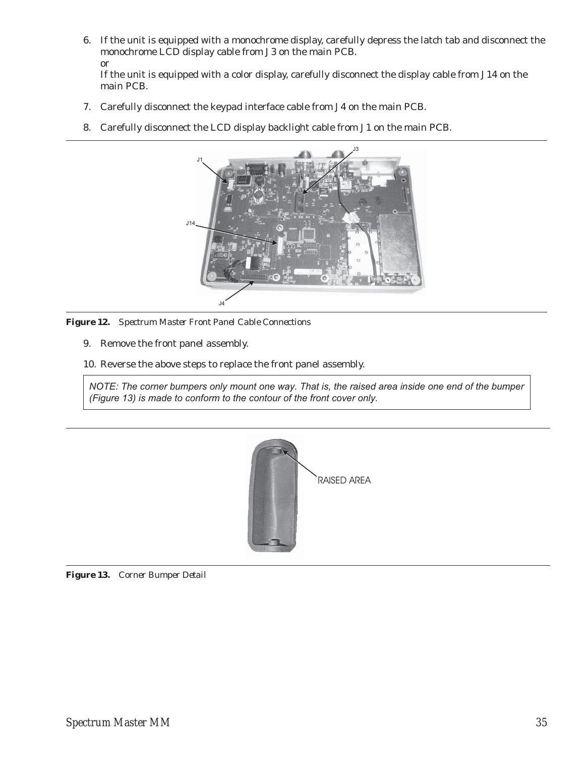6. If the unit is equipped with a monochrome display, carefully depress the latch tab and disconnect the monochrome LCD display cable from J3 on the main PCB. or

If the unit is equipped with a color display, carefully disconnect the display cable from J14 on the main PCB.

- 7. Carefully disconnect the keypad interface cable from J4 on the main PCB.
- 8. Carefully disconnect the LCD display backlight cable from J1 on the main PCB.



*Figure 12. Spectrum Master Front Panel Cable Connections*

- 9. Remove the front panel assembly.
- 10. Reverse the above steps to replace the front panel assembly.

*NOTE: The corner bumpers only mount one way. That is, the raised area inside one end of the bumper (Figure 13) is made to conform to the contour of the front cover only.*



*Figure 13. Corner Bumper Detail*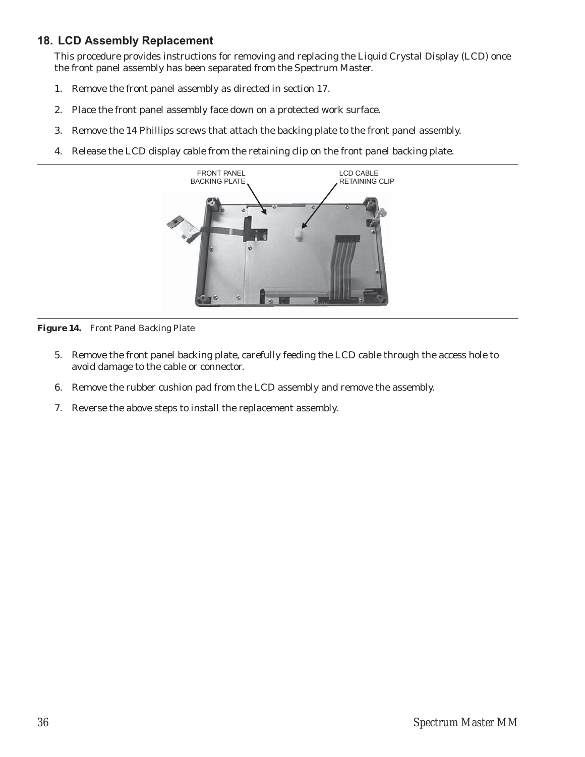# **18. LCD Assembly Replacement**

This procedure provides instructions for removing and replacing the Liquid Crystal Display (LCD) once the front panel assembly has been separated from the Spectrum Master.

- 1. Remove the front panel assembly as directed in section 17.
- 2. Place the front panel assembly face down on a protected work surface.
- 3. Remove the 14 Phillips screws that attach the backing plate to the front panel assembly.
- 4. Release the LCD display cable from the retaining clip on the front panel backing plate.



*Figure 14. Front Panel Backing Plate*

- 5. Remove the front panel backing plate, carefully feeding the LCD cable through the access hole to avoid damage to the cable or connector.
- 6. Remove the rubber cushion pad from the LCD assembly and remove the assembly.
- 7. Reverse the above steps to install the replacement assembly.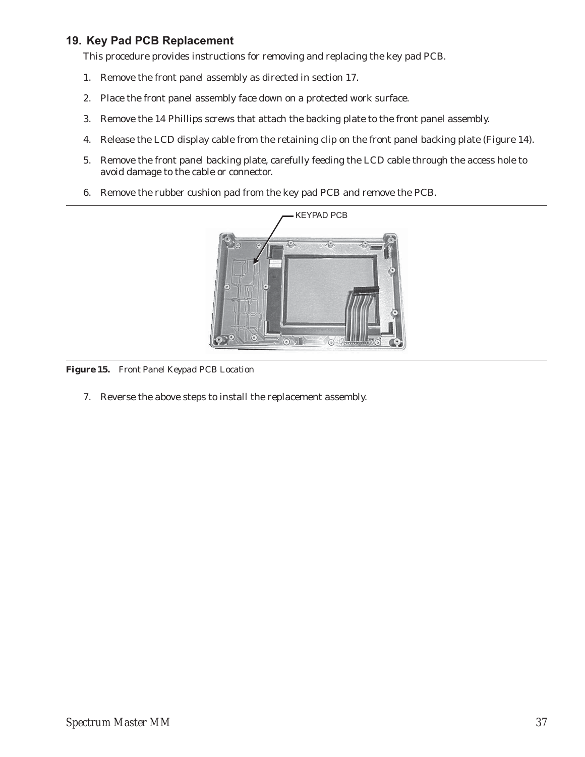# **19. Key Pad PCB Replacement**

This procedure provides instructions for removing and replacing the key pad PCB.

- 1. Remove the front panel assembly as directed in section 17.
- 2. Place the front panel assembly face down on a protected work surface.
- 3. Remove the 14 Phillips screws that attach the backing plate to the front panel assembly.
- 4. Release the LCD display cable from the retaining clip on the front panel backing plate (Figure 14).
- 5. Remove the front panel backing plate, carefully feeding the LCD cable through the access hole to avoid damage to the cable or connector.
- 6. Remove the rubber cushion pad from the key pad PCB and remove the PCB.



*Figure 15. Front Panel Keypad PCB Location*

7. Reverse the above steps to install the replacement assembly.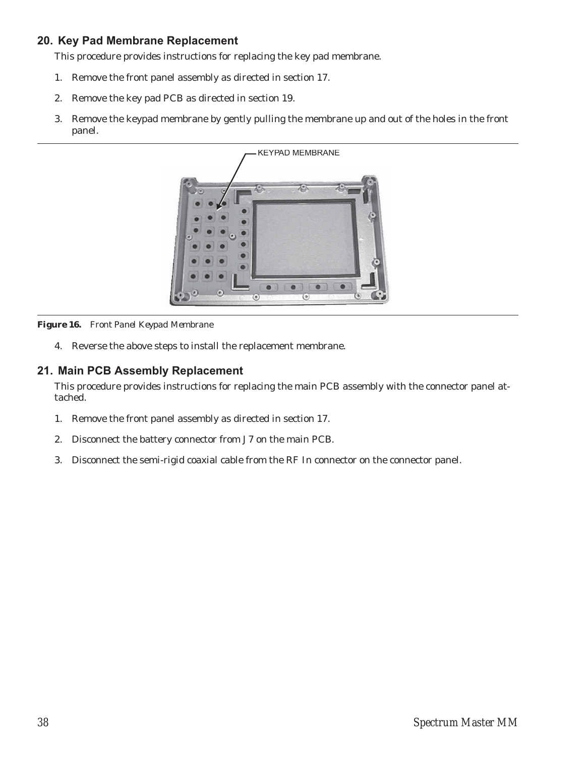# **20. Key Pad Membrane Replacement**

This procedure provides instructions for replacing the key pad membrane.

- 1. Remove the front panel assembly as directed in section 17.
- 2. Remove the key pad PCB as directed in section 19.
- 3. Remove the keypad membrane by gently pulling the membrane up and out of the holes in the front panel.



*Figure 16. Front Panel Keypad Membrane*

4. Reverse the above steps to install the replacement membrane.

# **21. Main PCB Assembly Replacement**

This procedure provides instructions for replacing the main PCB assembly with the connector panel attached.

- 1. Remove the front panel assembly as directed in section 17.
- 2. Disconnect the battery connector from J7 on the main PCB.
- 3. Disconnect the semi-rigid coaxial cable from the RF In connector on the connector panel.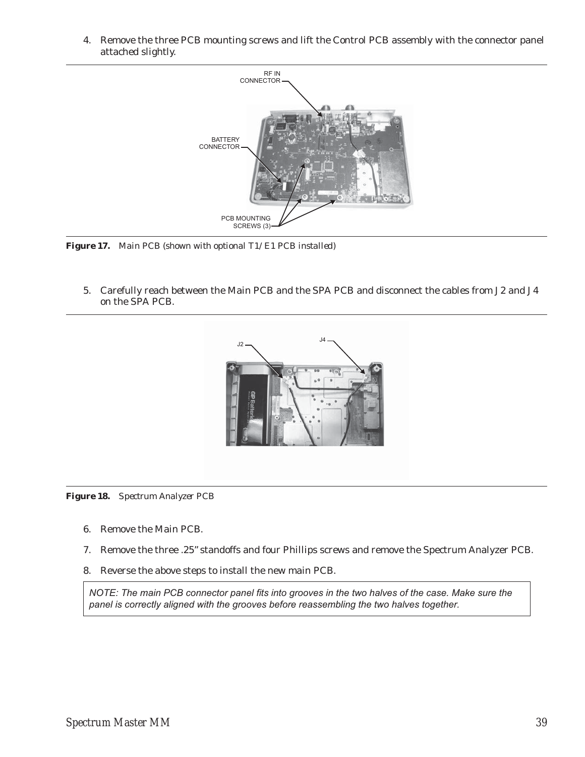4. Remove the three PCB mounting screws and lift the Control PCB assembly with the connector panel attached slightly.



*Figure 17. Main PCB (shown with optional T1/E1 PCB installed)*

5. Carefully reach between the Main PCB and the SPA PCB and disconnect the cables from J2 and J4 on the SPA PCB.





- 6. Remove the Main PCB.
- 7. Remove the three .25" standoffs and four Phillips screws and remove the Spectrum Analyzer PCB.
- 8. Reverse the above steps to install the new main PCB.

*NOTE: The main PCB connector panel fits into grooves in the two halves of the case. Make sure the panel is correctly aligned with the grooves before reassembling the two halves together.*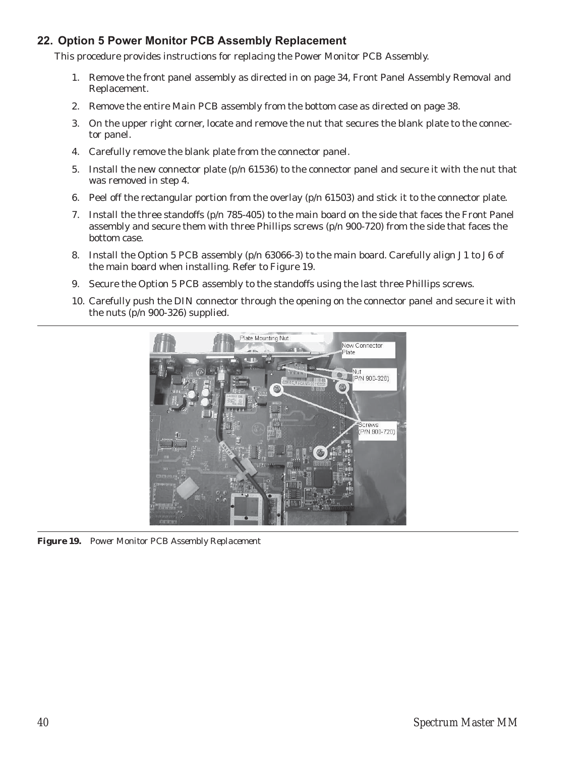# **22. Option 5 Power Monitor PCB Assembly Replacement**

This procedure provides instructions for replacing the Power Monitor PCB Assembly.

- 1. Remove the front panel assembly as directed in on page 34, Front Panel Assembly Removal and Replacement.
- 2. Remove the entire Main PCB assembly from the bottom case as directed on page 38.
- 3. On the upper right corner, locate and remove the nut that secures the blank plate to the connector panel.
- 4. Carefully remove the blank plate from the connector panel.
- 5. Install the new connector plate (p/n 61536) to the connector panel and secure it with the nut that was removed in step 4.
- 6. Peel off the rectangular portion from the overlay (p/n 61503) and stick it to the connector plate.
- 7. Install the three standoffs (p/n 785-405) to the main board on the side that faces the Front Panel assembly and secure them with three Phillips screws (p/n 900-720) from the side that faces the bottom case.
- 8. Install the Option 5 PCB assembly (p/n 63066-3) to the main board. Carefully align J1 to J6 of the main board when installing. Refer to Figure 19.
- 9. Secure the Option 5 PCB assembly to the standoffs using the last three Phillips screws.
- 10. Carefully push the DIN connector through the opening on the connector panel and secure it with the nuts (p/n 900-326) supplied.



*Figure 19. Power Monitor PCB Assembly Replacement*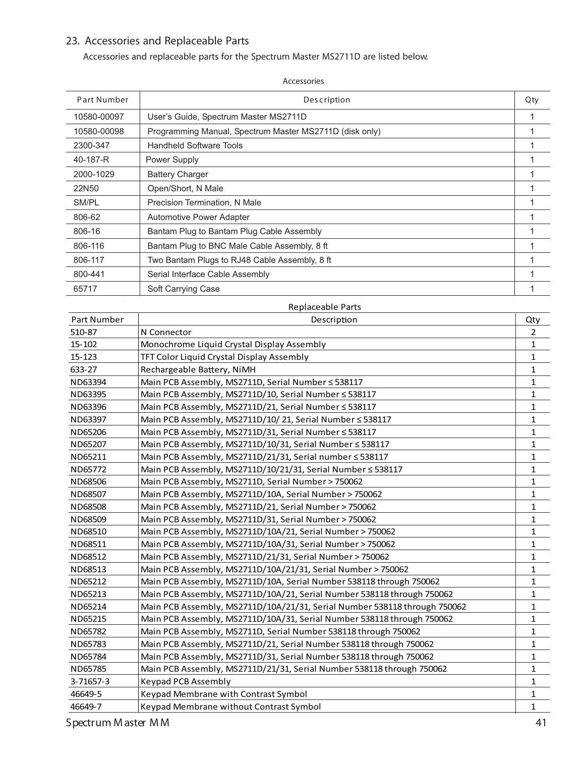# **23. Accessories and Replaceable Parts**

Accessories and replaceable parts for the Spectrum Master MS2711D are listed below.

| Part Number        | <b>Description</b>                                                        | Qty          |
|--------------------|---------------------------------------------------------------------------|--------------|
| 10580-00097        | User's Guide, Spectrum Master MS2711D                                     | 1            |
| 10580-00098        | Programming Manual, Spectrum Master MS2711D (disk only)                   | 1            |
| 2300-347           | <b>Handheld Software Tools</b>                                            | 1            |
| 40-187-R           | Power Supply                                                              | 1            |
| 2000-1029          | <b>Battery Charger</b>                                                    | 1            |
| 22N50              | Open/Short, N Male                                                        | 1            |
| SM/PL              | Precision Termination, N Male                                             | 1            |
| 806-62             | Automotive Power Adapter                                                  | 1            |
|                    |                                                                           |              |
| 806-16             | Bantam Plug to Bantam Plug Cable Assembly                                 | 1            |
| 806-116            | Bantam Plug to BNC Male Cable Assembly, 8 ft                              | 1            |
| 806-117            | Two Bantam Plugs to RJ48 Cable Assembly, 8 ft                             | 1            |
| 800-441            | Serial Interface Cable Assembly                                           | 1            |
| 65717              | Soft Carrying Case                                                        | 1            |
|                    | Replaceable Parts                                                         |              |
| <b>Part Number</b> | Description                                                               | Qty          |
| 510-87             | N Connector                                                               | 2            |
| 15-102             | Monochrome Liquid Crystal Display Assembly                                | 1            |
| 15-123             | TFT Color Liquid Crystal Display Assembly                                 | 1            |
| 633-27             | Rechargeable Battery, NiMH                                                | 1            |
| ND63394            | Main PCB Assembly, MS2711D, Serial Number ≤ 538117                        | 1            |
| ND63395            | Main PCB Assembly, MS2711D/10, Serial Number ≤ 538117                     | 1            |
| ND63396            | Main PCB Assembly, MS2711D/21, Serial Number ≤ 538117                     | 1            |
| ND63397            | Main PCB Assembly, MS2711D/10/21, Serial Number ≤ 538117                  | 1            |
| ND65206            | Main PCB Assembly, MS2711D/31, Serial Number ≤ 538117                     | 1            |
| ND65207            | Main PCB Assembly, MS2711D/10/31, Serial Number ≤ 538117                  | 1            |
| ND65211            | Main PCB Assembly, MS2711D/21/31, Serial number ≤ 538117                  | 1            |
| ND65772            | Main PCB Assembly, MS2711D/10/21/31, Serial Number ≤ 538117               | 1            |
| ND68506            | Main PCB Assembly, MS2711D, Serial Number > 750062                        | 1            |
| ND68507            | Main PCB Assembly, MS2711D/10A, Serial Number > 750062                    | 1            |
| ND68508            | Main PCB Assembly, MS2711D/21, Serial Number > 750062                     | 1            |
| ND68509            | Main PCB Assembly, MS2711D/31, Serial Number > 750062                     | 1            |
| ND68510            | Main PCB Assembly, MS2711D/10A/21, Serial Number > 750062                 | 1            |
| ND68511            | Main PCB Assembly, MS2711D/10A/31, Serial Number > 750062                 | $\mathbf{1}$ |
| ND68512            | Main PCB Assembly, MS2711D/21/31, Serial Number > 750062                  | 1            |
| ND68513            | Main PCB Assembly, MS2711D/10A/21/31, Serial Number > 750062              | 1            |
| ND65212            | Main PCB Assembly, MS2711D/10A, Serial Number 538118 through 750062       | 1            |
| ND65213            | Main PCB Assembly, MS2711D/10A/21, Serial Number 538118 through 750062    | 1            |
| ND65214            | Main PCB Assembly, MS2711D/10A/21/31, Serial Number 538118 through 750062 | 1            |
| ND65215            | Main PCB Assembly, MS2711D/10A/31, Serial Number 538118 through 750062    | 1            |
| ND65782            | Main PCB Assembly, MS2711D, Serial Number 538118 through 750062           | 1            |
| ND65783            | Main PCB Assembly, MS2711D/21, Serial Number 538118 through 750062        | 1            |
| ND65784            | Main PCB Assembly, MS2711D/31, Serial Number 538118 through 750062        | 1            |
| ND65785            | Main PCB Assembly, MS2711D/21/31, Serial Number 538118 through 750062     | 1            |
| 3-71657-3          | <b>Keypad PCB Assembly</b>                                                | 1            |
| 46649-5            | Keypad Membrane with Contrast Symbol                                      | 1            |

46649-7 Keypad Membrane without Contrast Symbol 1 Contrast 1 2 1

**Accessories**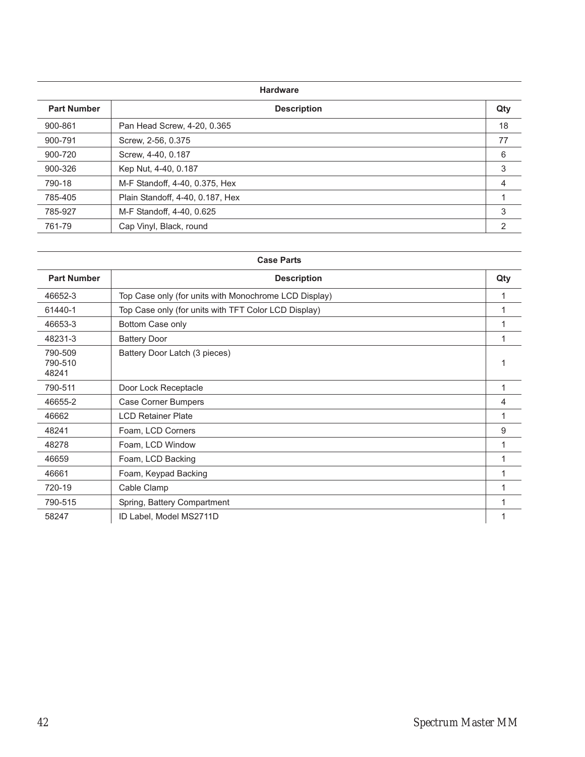#### **Hardware**

| <b>Part Number</b> | <b>Description</b>               | Qty |
|--------------------|----------------------------------|-----|
| 900-861            | Pan Head Screw, 4-20, 0.365      | 18  |
| 900-791            | Screw, 2-56, 0.375               | 77  |
| 900-720            | Screw, 4-40, 0.187               | 6   |
| 900-326            | Kep Nut, 4-40, 0.187             | 3   |
| 790-18             | M-F Standoff, 4-40, 0.375, Hex   | 4   |
| 785-405            | Plain Standoff, 4-40, 0.187, Hex |     |
| 785-927            | M-F Standoff, 4-40, 0.625        | 3   |
| 761-79             | Cap Vinyl, Black, round          | 2   |

| <b>Case Parts</b>           |                                                       |     |  |
|-----------------------------|-------------------------------------------------------|-----|--|
| <b>Part Number</b>          | <b>Description</b>                                    | Qty |  |
| 46652-3                     | Top Case only (for units with Monochrome LCD Display) |     |  |
| 61440-1                     | Top Case only (for units with TFT Color LCD Display)  |     |  |
| 46653-3                     | Bottom Case only                                      |     |  |
| 48231-3                     | <b>Battery Door</b>                                   |     |  |
| 790-509<br>790-510<br>48241 | Battery Door Latch (3 pieces)                         |     |  |
| 790-511                     | Door Lock Receptacle                                  |     |  |
| 46655-2                     | Case Corner Bumpers                                   | 4   |  |
| 46662                       | <b>LCD Retainer Plate</b>                             |     |  |
| 48241                       | Foam, LCD Corners                                     | 9   |  |
| 48278                       | Foam, LCD Window                                      |     |  |
| 46659                       | Foam, LCD Backing                                     |     |  |
| 46661                       | Foam, Keypad Backing                                  |     |  |
| 720-19                      | Cable Clamp                                           |     |  |
| 790-515                     | Spring, Battery Compartment                           |     |  |
| 58247                       | ID Label, Model MS2711D                               |     |  |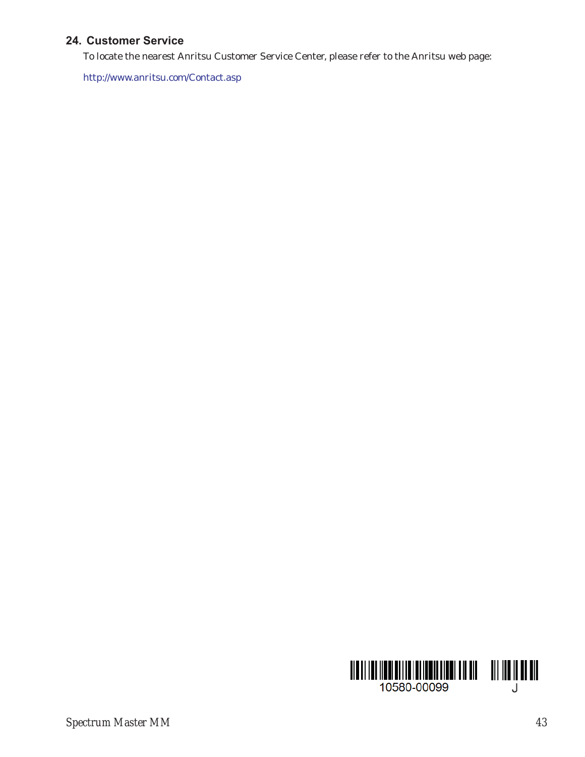# **24. Customer Service**

To locate the nearest Anritsu Customer Service Center, please refer to the Anritsu web page:

http://www.anritsu.com/Contact.asp